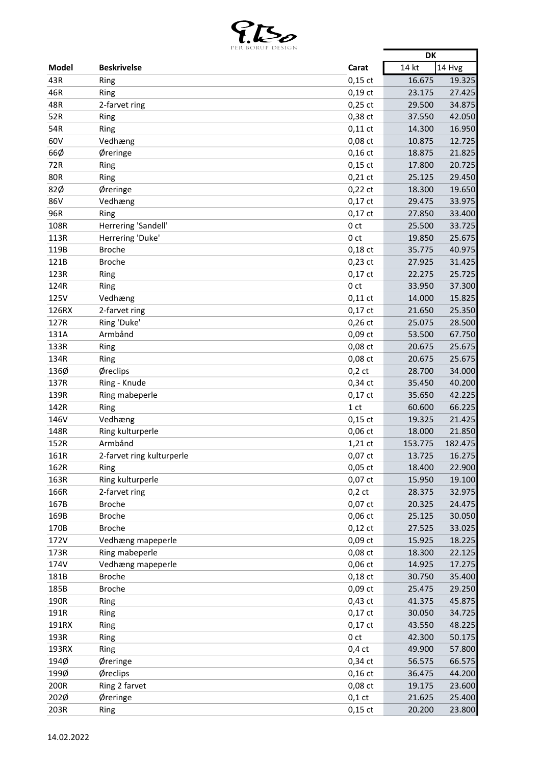

|              | LEN BONUL DESIGIN         |                 | <b>DK</b> |         |
|--------------|---------------------------|-----------------|-----------|---------|
| <b>Model</b> | <b>Beskrivelse</b>        | Carat           | 14 kt     | 14 Hvg  |
| 43R          | Ring                      | $0,15$ ct       | 16.675    | 19.325  |
| 46R          | Ring                      | $0,19$ ct       | 23.175    | 27.425  |
| 48R          | 2-farvet ring             | $0,25$ ct       | 29.500    | 34.875  |
| 52R          | Ring                      | 0,38 ct         | 37.550    | 42.050  |
| 54R          | Ring                      | $0,11$ ct       | 14.300    | 16.950  |
| 60V          | Vedhæng                   | 0,08 ct         | 10.875    | 12.725  |
| 66Ø          | Øreringe                  | $0,16$ ct       | 18.875    | 21.825  |
| 72R          | Ring                      | $0,15$ ct       | 17.800    | 20.725  |
| <b>80R</b>   | Ring                      | $0,21$ ct       | 25.125    | 29.450  |
| 82Ø          | Øreringe                  | $0,22$ ct       | 18.300    | 19.650  |
| 86V          | Vedhæng                   | $0,17$ ct       | 29.475    | 33.975  |
| 96R          | Ring                      | $0,17$ ct       | 27.850    | 33.400  |
| 108R         | Herrering 'Sandell'       | 0 <sub>ct</sub> | 25.500    | 33.725  |
| 113R         | Herrering 'Duke'          | 0 <sub>ct</sub> | 19.850    | 25.675  |
| 119B         | <b>Broche</b>             | $0,18$ ct       | 35.775    | 40.975  |
| 121B         | <b>Broche</b>             | $0,23$ ct       | 27.925    | 31.425  |
| 123R         | Ring                      | $0,17$ ct       | 22.275    | 25.725  |
| 124R         | Ring                      | 0 <sub>ct</sub> | 33.950    | 37.300  |
| 125V         | Vedhæng                   | $0,11$ ct       | 14.000    | 15.825  |
| 126RX        | 2-farvet ring             | $0,17$ ct       | 21.650    | 25.350  |
| 127R         | Ring 'Duke'               | $0,26$ ct       | 25.075    | 28.500  |
| 131A         | Armbånd                   | 0,09 ct         | 53.500    | 67.750  |
| 133R         | Ring                      | 0,08 ct         | 20.675    | 25.675  |
| 134R         | Ring                      | 0,08 ct         | 20.675    | 25.675  |
| 136Ø         | Øreclips                  | $0,2$ ct        | 28.700    | 34.000  |
| 137R         | Ring - Knude              | 0,34 ct         | 35.450    | 40.200  |
| 139R         | Ring mabeperle            | $0,17$ ct       | 35.650    | 42.225  |
| 142R         | Ring                      | 1 <sub>ct</sub> | 60.600    | 66.225  |
| 146V         | Vedhæng                   | $0,15$ ct       | 19.325    | 21.425  |
| 148R         | Ring kulturperle          | $0,06$ ct       | 18.000    | 21.850  |
| 152R         | Armbånd                   | $1,21$ ct       | 153.775   | 182.475 |
| 161R         | 2-farvet ring kulturperle | 0,07 ct         | 13.725    | 16.275  |
| 162R         | Ring                      | $0,05$ ct       | 18.400    | 22.900  |
| 163R         | Ring kulturperle          | $0,07$ ct       | 15.950    | 19.100  |
| 166R         | 2-farvet ring             | $0,2$ ct        | 28.375    | 32.975  |
| 167B         | <b>Broche</b>             | 0,07 ct         | 20.325    | 24.475  |
| 169B         | <b>Broche</b>             | $0,06$ ct       | 25.125    | 30.050  |
| 170B         | <b>Broche</b>             | $0,12$ ct       | 27.525    | 33.025  |
| 172V         | Vedhæng mapeperle         | 0,09 ct         | 15.925    | 18.225  |
| 173R         | Ring mabeperle            | $0,08$ ct       | 18.300    | 22.125  |
| 174V         | Vedhæng mapeperle         | 0,06 ct         | 14.925    | 17.275  |
| 181B         | <b>Broche</b>             | $0,18$ ct       | 30.750    | 35.400  |
| 185B         | <b>Broche</b>             | 0,09 ct         | 25.475    | 29.250  |
| 190R         | Ring                      | $0,43$ ct       | 41.375    | 45.875  |
| 191R         | Ring                      | $0,17$ ct       | 30.050    | 34.725  |
| 191RX        | Ring                      | $0,17$ ct       | 43.550    | 48.225  |
| 193R         | Ring                      | 0 <sub>ct</sub> | 42.300    | 50.175  |
| 193RX        | Ring                      | $0,4$ ct        | 49.900    | 57.800  |
| 194Ø         | Øreringe                  | 0,34 ct         | 56.575    | 66.575  |
| 199Ø         | Øreclips                  | $0,16$ ct       | 36.475    | 44.200  |
| 200R         | Ring 2 farvet             | 0,08 ct         | 19.175    | 23.600  |
| 202Ø         | Øreringe                  | $0,1$ ct        | 21.625    | 25.400  |
| 203R         | Ring                      | $0,15$ ct       | 20.200    | 23.800  |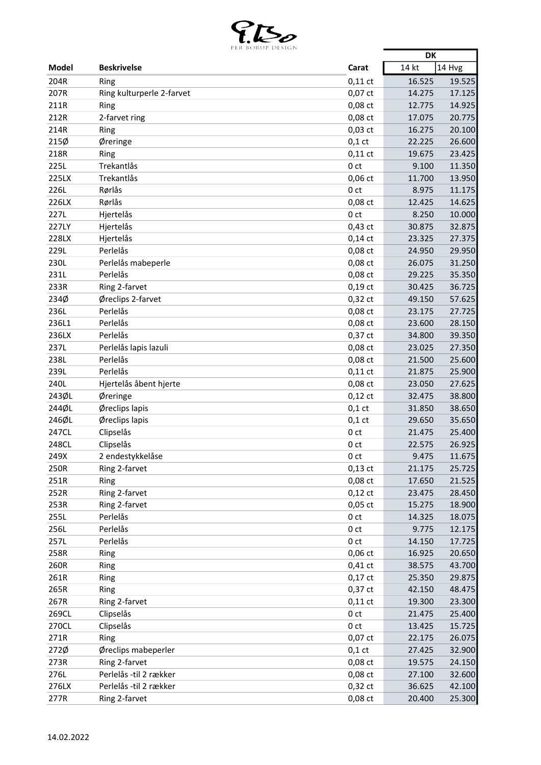

|              | DOMOL DESIGN              |                 | DK     |        |
|--------------|---------------------------|-----------------|--------|--------|
| <b>Model</b> | <b>Beskrivelse</b>        | Carat           | 14 kt  | 14 Hvg |
| 204R         | Ring                      | $0,11$ ct       | 16.525 | 19.525 |
| 207R         | Ring kulturperle 2-farvet | 0,07 ct         | 14.275 | 17.125 |
| 211R         | Ring                      | 0,08 ct         | 12.775 | 14.925 |
| 212R         | 2-farvet ring             | 0,08 ct         | 17.075 | 20.775 |
| 214R         | Ring                      | $0,03$ ct       | 16.275 | 20.100 |
| 215%         | Øreringe                  | $0,1$ ct        | 22.225 | 26.600 |
| 218R         | Ring                      | $0,11$ ct       | 19.675 | 23.425 |
| 225L         | Trekantlås                | 0 <sub>ct</sub> | 9.100  | 11.350 |
| 225LX        | Trekantlås                | $0,06$ ct       | 11.700 | 13.950 |
| 226L         | Rørlås                    | 0 <sub>ct</sub> | 8.975  | 11.175 |
| 226LX        | Rørlås                    | $0,08$ ct       | 12.425 | 14.625 |
| 227L         | Hjertelås                 | 0 ct            | 8.250  | 10.000 |
| 227LY        | Hjertelås                 | $0,43$ ct       | 30.875 | 32.875 |
| 228LX        | Hjertelås                 | $0,14$ ct       | 23.325 | 27.375 |
| 229L         | Perlelås                  | 0,08 ct         | 24.950 | 29.950 |
| 230L         | Perlelås mabeperle        | 0,08 ct         | 26.075 | 31.250 |
| 231L         | Perlelås                  | 0,08 ct         | 29.225 | 35.350 |
| 233R         | Ring 2-farvet             | $0,19$ ct       | 30.425 | 36.725 |
| 234Ø         | Øreclips 2-farvet         | 0,32 ct         | 49.150 | 57.625 |
| 236L         | Perlelås                  | 0,08 ct         | 23.175 | 27.725 |
| 236L1        | Perlelås                  | 0,08 ct         | 23.600 | 28.150 |
| 236LX        | Perlelås                  | $0,37$ ct       | 34.800 | 39.350 |
| 237L         | Perlelås lapis lazuli     | 0,08 ct         | 23.025 | 27.350 |
| 238L         | Perlelås                  | 0,08 ct         | 21.500 | 25.600 |
| 239L         | Perlelås                  | $0,11$ ct       | 21.875 | 25.900 |
| <b>240L</b>  | Hjertelås åbent hjerte    | 0,08 ct         | 23.050 | 27.625 |
| 243ØL        | Øreringe                  | $0,12$ ct       | 32.475 | 38.800 |
| 244ØL        | Øreclips lapis            | $0,1$ ct        | 31.850 | 38.650 |
| 246ØL        | Øreclips lapis            | $0,1$ ct        | 29.650 | 35.650 |
| 247CL        | Clipselås                 | 0 ct            | 21.475 | 25.400 |
| 248CL        | Clipselås                 | 0 <sub>ct</sub> | 22.575 | 26.925 |
| 249X         | 2 endestykkelåse          | 0 <sub>ct</sub> | 9.475  | 11.675 |
| 250R         | Ring 2-farvet             | $0,13$ ct       | 21.175 | 25.725 |
| 251R         | Ring                      | 0,08 ct         | 17.650 | 21.525 |
| 252R         | Ring 2-farvet             | $0,12$ ct       | 23.475 | 28.450 |
| 253R         | Ring 2-farvet             | $0,05$ ct       | 15.275 | 18.900 |
| 255L         | Perlelås                  | 0 <sub>ct</sub> | 14.325 | 18.075 |
| 256L         | Perlelås                  | 0 <sub>ct</sub> | 9.775  | 12.175 |
| 257L         | Perlelås                  | 0 <sub>ct</sub> |        | 17.725 |
| 258R         |                           | 0,06 ct         | 14.150 |        |
|              | Ring                      |                 | 16.925 | 20.650 |
| 260R         | Ring                      | $0,41$ ct       | 38.575 | 43.700 |
| 261R         | Ring                      | $0,17$ ct       | 25.350 | 29.875 |
| 265R         | Ring                      | $0,37$ ct       | 42.150 | 48.475 |
| 267R         | Ring 2-farvet             | $0,11$ ct       | 19.300 | 23.300 |
| 269CL        | Clipselås                 | 0 <sub>ct</sub> | 21.475 | 25.400 |
| 270CL        | Clipselås                 | 0 ct            | 13.425 | 15.725 |
| 271R         | Ring                      | 0,07 ct         | 22.175 | 26.075 |
| 272Ø         | Øreclips mabeperler       | $0,1$ ct        | 27.425 | 32.900 |
| 273R         | Ring 2-farvet             | 0,08 ct         | 19.575 | 24.150 |
| 276L         | Perlelås -til 2 rækker    | 0,08 ct         | 27.100 | 32.600 |
| 276LX        | Perlelås -til 2 rækker    | $0,32$ ct       | 36.625 | 42.100 |
| 277R         | Ring 2-farvet             | 0,08 ct         | 20.400 | 25.300 |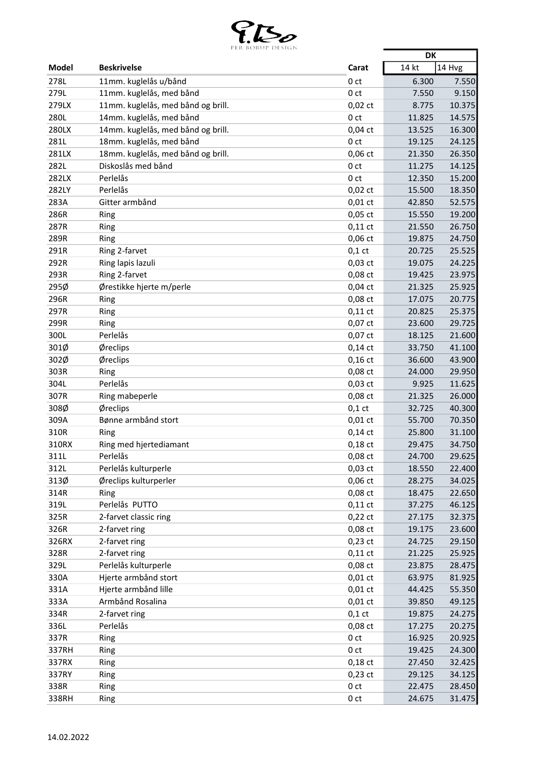

|       | per borup design                   |                 | <b>DK</b> |        |
|-------|------------------------------------|-----------------|-----------|--------|
| Model | <b>Beskrivelse</b>                 | Carat           | 14 kt     | 14 Hvg |
| 278L  | 11mm. kuglelås u/bånd              | 0 <sub>ct</sub> | 6.300     | 7.550  |
| 279L  | 11mm. kuglelås, med bånd           | 0 <sub>ct</sub> | 7.550     | 9.150  |
| 279LX | 11mm. kuglelås, med bånd og brill. | $0,02$ ct       | 8.775     | 10.375 |
| 280L  | 14mm. kuglelås, med bånd           | 0 <sub>ct</sub> | 11.825    | 14.575 |
| 280LX | 14mm. kuglelås, med bånd og brill. | $0,04$ ct       | 13.525    | 16.300 |
| 281L  | 18mm. kuglelås, med bånd           | 0 <sub>ct</sub> | 19.125    | 24.125 |
| 281LX | 18mm. kuglelås, med bånd og brill. | 0,06 ct         | 21.350    | 26.350 |
| 282L  | Diskoslås med bånd                 | 0 <sub>ct</sub> | 11.275    | 14.125 |
| 282LX | Perlelås                           | 0 <sub>ct</sub> | 12.350    | 15.200 |
| 282LY | Perlelås                           | $0,02$ ct       | 15.500    | 18.350 |
| 283A  | Gitter armbånd                     | $0,01$ ct       | 42.850    | 52.575 |
| 286R  | Ring                               | $0,05$ ct       | 15.550    | 19.200 |
| 287R  | Ring                               | $0,11$ ct       | 21.550    | 26.750 |
| 289R  | Ring                               | $0,06$ ct       | 19.875    | 24.750 |
| 291R  | Ring 2-farvet                      | $0,1$ ct        | 20.725    | 25.525 |
| 292R  | Ring lapis lazuli                  | $0,03$ ct       | 19.075    | 24.225 |
| 293R  | Ring 2-farvet                      | 0,08 ct         | 19.425    | 23.975 |
| 295Ø  | Ørestikke hjerte m/perle           | $0,04$ ct       | 21.325    | 25.925 |
| 296R  | Ring                               | 0,08 ct         | 17.075    | 20.775 |
| 297R  | Ring                               | $0,11$ ct       | 20.825    | 25.375 |
| 299R  | Ring                               | $0,07$ ct       | 23.600    | 29.725 |
| 300L  | Perlelås                           | 0,07 ct         | 18.125    | 21.600 |
| 301Ø  | Øreclips                           | $0,14$ ct       | 33.750    | 41.100 |
| 302Ø  | Øreclips                           | $0,16$ ct       | 36.600    | 43.900 |
| 303R  | Ring                               | 0,08 ct         | 24.000    | 29.950 |
| 304L  | Perlelås                           | $0,03$ ct       | 9.925     | 11.625 |
| 307R  | Ring mabeperle                     | $0,08$ ct       | 21.325    | 26.000 |
| 308Ø  | Øreclips                           | $0,1$ ct        | 32.725    | 40.300 |
| 309A  | Bønne armbånd stort                | $0,01$ ct       | 55.700    | 70.350 |
| 310R  | Ring                               | $0,14$ ct       | 25.800    | 31.100 |
| 310RX | Ring med hjertediamant             | $0,18$ ct       | 29.475    | 34.750 |
| 311L  | Perlelås                           | 0,08 ct         | 24.700    | 29.625 |
| 312L  | Perlelås kulturperle               | $0,03$ ct       | 18.550    | 22.400 |
| 313Ø  | Øreclips kulturperler              | $0,06$ ct       | 28.275    | 34.025 |
| 314R  | Ring                               | 0,08 ct         | 18.475    | 22.650 |
| 319L  | Perlelås PUTTO                     | $0,11$ ct       | 37.275    | 46.125 |
| 325R  | 2-farvet classic ring              | $0,22$ ct       | 27.175    | 32.375 |
| 326R  | 2-farvet ring                      | 0,08 ct         | 19.175    | 23.600 |
| 326RX | 2-farvet ring                      | $0,23$ ct       | 24.725    | 29.150 |
| 328R  | 2-farvet ring                      | $0,11$ ct       | 21.225    | 25.925 |
| 329L  | Perlelås kulturperle               | $0,08$ ct       | 23.875    | 28.475 |
| 330A  | Hjerte armbånd stort               | $0,01$ ct       | 63.975    | 81.925 |
| 331A  | Hjerte armbånd lille               | $0,01$ ct       | 44.425    | 55.350 |
| 333A  | Armbånd Rosalina                   | $0,01$ ct       | 39.850    | 49.125 |
| 334R  | 2-farvet ring                      | $0,1$ ct        | 19.875    | 24.275 |
| 336L  | Perlelås                           | 0,08 ct         | 17.275    | 20.275 |
| 337R  | Ring                               | 0 <sub>ct</sub> | 16.925    | 20.925 |
| 337RH | Ring                               | 0 <sub>ct</sub> | 19.425    | 24.300 |
| 337RX | Ring                               | $0,18$ ct       | 27.450    | 32.425 |
| 337RY | Ring                               | $0,23$ ct       | 29.125    | 34.125 |
| 338R  | Ring                               | 0 <sub>ct</sub> | 22.475    | 28.450 |
| 338RH | Ring                               | 0 <sub>ct</sub> | 24.675    | 31.475 |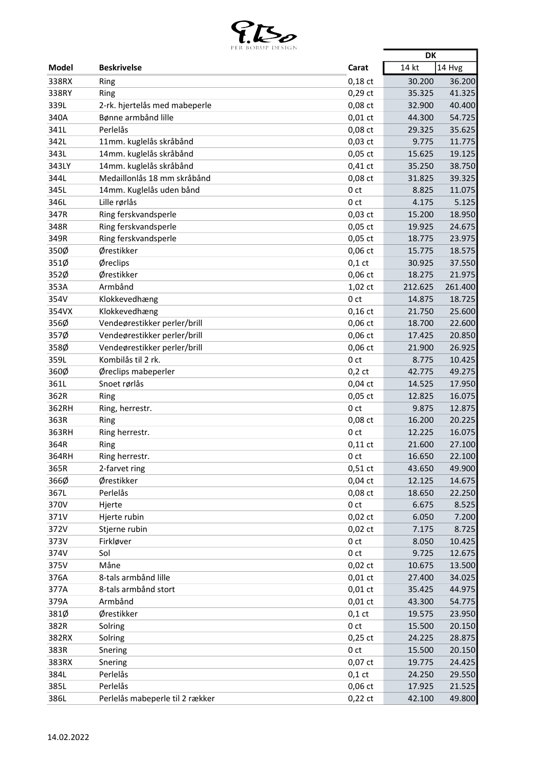

|       | PONOL DESIGN                    |                 | <b>DK</b>        |         |
|-------|---------------------------------|-----------------|------------------|---------|
| Model | <b>Beskrivelse</b>              | Carat           | 14 kt<br>14 Hvg  |         |
| 338RX | Ring                            | $0,18$ ct       | 30.200           | 36.200  |
| 338RY | Ring                            | 0,29 ct         | 35.325           | 41.325  |
| 339L  | 2-rk. hjertelås med mabeperle   | 0,08 ct         | 32.900           | 40.400  |
| 340A  | Bønne armbånd lille             | $0,01$ ct       | 44.300           | 54.725  |
| 341L  | Perlelås                        | 0,08 ct         | 29.325           | 35.625  |
| 342L  | 11mm. kuglelås skråbånd         | $0,03$ ct       | 9.775            | 11.775  |
| 343L  | 14mm. kuglelås skråbånd         | $0,05$ ct       | 15.625           | 19.125  |
| 343LY | 14mm. kuglelås skråbånd         | $0,41$ ct       | 35.250           | 38.750  |
| 344L  | Medaillonlås 18 mm skråbånd     | 0,08 ct         | 31.825           | 39.325  |
| 345L  | 14mm. Kuglelås uden bånd        | 0 ct            | 8.825            | 11.075  |
| 346L  | Lille rørlås                    | 0 <sub>ct</sub> | 4.175            | 5.125   |
| 347R  | Ring ferskvandsperle            | $0,03$ ct       | 15.200           | 18.950  |
| 348R  | Ring ferskvandsperle            | $0,05$ ct       | 19.925           | 24.675  |
| 349R  | Ring ferskvandsperle            | $0,05$ ct       | 18.775           | 23.975  |
| 350Ø  | Ørestikker                      | $0,06$ ct       | 15.775           | 18.575  |
| 351Ø  | Øreclips                        | $0,1$ ct        | 30.925           | 37.550  |
| 352Ø  | Ørestikker                      | 0,06 ct         | 18.275           | 21.975  |
| 353A  | Armbånd                         | 1,02 ct         | 212.625          | 261.400 |
| 354V  | Klokkevedhæng                   | 0 ct            | 14.875           | 18.725  |
| 354VX | Klokkevedhæng                   | $0,16$ ct       | 21.750           | 25.600  |
| 356Ø  | Vendeørestikker perler/brill    | 0,06 ct         | 18.700           | 22.600  |
| 357Ø  | Vendeørestikker perler/brill    | 0,06 ct         | 17.425           | 20.850  |
| 358Ø  | Vendeørestikker perler/brill    | 0,06 ct         | 21.900           | 26.925  |
| 359L  | Kombilås til 2 rk.              | 0 <sub>ct</sub> | 8.775            | 10.425  |
| 360Ø  | Øreclips mabeperler             | $0,2$ ct        | 42.775           | 49.275  |
| 361L  | Snoet rørlås                    | $0,04$ ct       | 14.525           | 17.950  |
| 362R  | Ring                            | 0,05 ct         | 12.825           | 16.075  |
| 362RH | Ring, herrestr.                 | 0 ct            | 9.875            | 12.875  |
| 363R  | Ring                            | $0,08$ ct       | 16.200           | 20.225  |
| 363RH | Ring herrestr.                  | 0 ct            | 12.225           | 16.075  |
| 364R  | Ring                            | $0,11$ ct       | 21.600           | 27.100  |
| 364RH | Ring herrestr.                  | 0 <sub>ct</sub> | 16.650           | 22.100  |
| 365R  | 2-farvet ring                   | $0,51$ ct       | 43.650           | 49.900  |
| 366Ø  | Ørestikker                      | $0,04$ ct       | 12.125           | 14.675  |
| 367L  | Perlelås                        | $0,08$ ct       | 18.650           | 22.250  |
| 370V  | Hjerte                          | 0 <sub>ct</sub> | 6.675            | 8.525   |
| 371V  | Hjerte rubin                    | $0,02$ ct       | 6.050            | 7.200   |
| 372V  | Stjerne rubin                   | $0,02$ ct       | 7.175            | 8.725   |
| 373V  | Firkløver                       | 0 <sub>ct</sub> | 8.050            | 10.425  |
| 374V  | Sol                             | 0 <sub>ct</sub> | 9.725            | 12.675  |
| 375V  | Måne                            | $0,02$ ct       | 10.675           | 13.500  |
| 376A  | 8-tals armbånd lille            | $0,01$ ct       | 27.400           | 34.025  |
| 377A  | 8-tals armbånd stort            | $0,01$ ct       | 35.425           | 44.975  |
| 379A  | Armbånd                         | $0,01$ ct       | 43.300           | 54.775  |
| 381Ø  | Ørestikker                      | $0,1$ ct        | 19.575           | 23.950  |
| 382R  | Solring                         | 0 <sub>ct</sub> | 15.500           | 20.150  |
| 382RX | Solring                         | $0,25$ ct       | 24.225           | 28.875  |
| 383R  |                                 | 0 <sub>ct</sub> |                  |         |
| 383RX | Snering                         | 0,07 ct         | 15.500<br>19.775 | 20.150  |
|       | Snering<br>Perlelås             |                 |                  | 24.425  |
| 384L  | Perlelås                        | $0,1$ ct        | 24.250           | 29.550  |
| 385L  |                                 | 0,06 ct         | 17.925           | 21.525  |
| 386L  | Perlelås mabeperle til 2 rækker | $0,22$ ct       | 42.100           | 49.800  |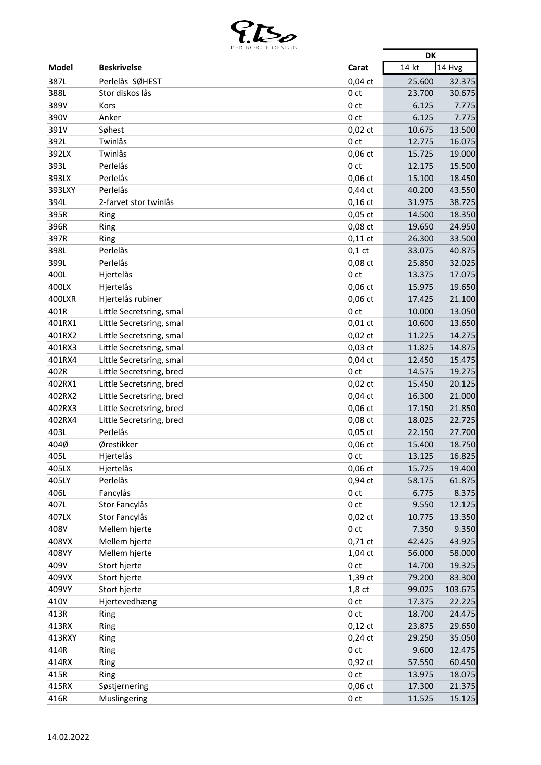

| 14 kt<br>14 Hvg<br><b>Model</b><br><b>Beskrivelse</b><br>Carat<br>Perlelås SØHEST<br>387L<br>$0,04$ ct<br>25.600<br>32.375<br>Stor diskos lås<br>388L<br>0 <sub>ct</sub><br>23.700<br>30.675<br>389V<br>7.775<br>Kors<br>0 <sub>ct</sub><br>6.125<br>390V<br>Anker<br>6.125<br>0 <sub>ct</sub><br>7.775<br>391V<br>Søhest<br>$0,02$ ct<br>10.675<br>13.500<br>Twinlås<br>392L<br>0 <sub>ct</sub><br>12.775<br>16.075<br>392LX<br>Twinlås<br>0,06 ct<br>15.725<br>19.000<br>393L<br>Perlelås<br>15.500<br>0 <sub>ct</sub><br>12.175<br>393LX<br>Perlelås<br>0,06 ct<br>18.450<br>15.100<br>393LXY<br>Perlelås<br>$0,44$ ct<br>40.200<br>43.550<br>394L<br>2-farvet stor twinlås<br>$0,16$ ct<br>31.975<br>38.725<br>395R<br>18.350<br>$0,05$ ct<br>14.500<br>Ring<br>396R<br>0,08 ct<br>19.650<br>24.950<br>Ring<br>397R<br>33.500<br>$0,11$ ct<br>26.300<br>Ring<br>398L<br>Perlelås<br>$0,1$ ct<br>33.075<br>40.875<br>Perlelås<br>399L<br>0,08 ct<br>32.025<br>25.850<br>400L<br>Hjertelås<br>17.075<br>0 <sub>ct</sub><br>13.375<br>Hjertelås<br>0,06 ct<br>400LX<br>19.650<br>15.975<br>400LXR<br>Hjertelås rubiner<br>$0,06$ ct<br>17.425<br>21.100<br>13.050<br>401R<br>Little Secretsring, smal<br>0 <sub>ct</sub><br>10.000<br>401RX1<br>13.650<br>Little Secretsring, smal<br>$0,01$ ct<br>10.600<br>401RX2<br>$0,02$ ct<br>14.275<br>Little Secretsring, smal<br>11.225<br>$0,03$ ct<br>14.875<br>401RX3<br>11.825<br>Little Secretsring, smal<br>401RX4<br>Little Secretsring, smal<br>$0,04$ ct<br>12.450<br>15.475<br>402R<br>Little Secretsring, bred<br>0 <sub>ct</sub><br>19.275<br>14.575<br>402RX1<br>$0,02$ ct<br>Little Secretsring, bred<br>15.450<br>20.125<br>$0,04$ ct<br>21.000<br>402RX2<br>Little Secretsring, bred<br>16.300<br>21.850<br>402RX3<br>Little Secretsring, bred<br>0,06 ct<br>17.150<br>402RX4<br>Little Secretsring, bred<br>$0,08$ ct<br>18.025<br>22.725<br>Perlelås<br>403L<br>0,05 ct<br>22.150<br>27.700<br>Ørestikker<br>$0,06$ ct<br>15.400<br>18.750<br>Hjertelås<br>16.825<br>0 <sub>ct</sub><br>13.125<br>405LX<br>Hjertelås<br>$0,06$ ct<br>19.400<br>15.725<br>Perlelås<br>405LY<br>0,94 ct<br>58.175<br>61.875<br>406L<br>Fancylås<br>8.375<br>0 <sub>ct</sub><br>6.775<br>407L<br>Stor Fancylås<br>0 <sub>ct</sub><br>9.550<br>12.125<br>Stor Fancylås<br>13.350<br>407LX<br>$0,02$ ct<br>10.775<br>408V<br>Mellem hjerte<br>0 <sub>ct</sub><br>7.350<br>9.350<br>408VX<br>Mellem hjerte<br>0,71 ct<br>43.925<br>42.425<br>408VY<br>Mellem hjerte<br>58.000<br>1,04 ct<br>56.000<br>409V<br>Stort hjerte<br>0 <sub>ct</sub><br>14.700<br>19.325<br>1,39 ct<br>409VX<br>Stort hjerte<br>79.200<br>83.300<br>Stort hjerte<br>409VY<br>$1,8$ ct<br>99.025<br>103.675<br>410V<br>Hjertevedhæng<br>0 <sub>ct</sub><br>17.375<br>22.225<br>413R<br>Ring<br>0 <sub>ct</sub><br>18.700<br>24.475<br>413RX<br>$0,12$ ct<br>23.875<br>29.650<br>Ring<br>413RXY<br>$0,24$ ct<br>35.050<br>29.250<br>Ring<br>414R<br>0 <sub>ct</sub><br>9.600<br>12.475<br>Ring<br>414RX<br>0,92 ct<br>60.450<br>57.550<br>Ring<br>415R<br>0 <sub>ct</sub><br>13.975<br>18.075<br>Ring<br>0,06 ct<br>21.375<br>415RX<br>17.300<br>Søstjernering |      | LA DUNUL DESIGN |                 | <b>DK</b> |        |
|-----------------------------------------------------------------------------------------------------------------------------------------------------------------------------------------------------------------------------------------------------------------------------------------------------------------------------------------------------------------------------------------------------------------------------------------------------------------------------------------------------------------------------------------------------------------------------------------------------------------------------------------------------------------------------------------------------------------------------------------------------------------------------------------------------------------------------------------------------------------------------------------------------------------------------------------------------------------------------------------------------------------------------------------------------------------------------------------------------------------------------------------------------------------------------------------------------------------------------------------------------------------------------------------------------------------------------------------------------------------------------------------------------------------------------------------------------------------------------------------------------------------------------------------------------------------------------------------------------------------------------------------------------------------------------------------------------------------------------------------------------------------------------------------------------------------------------------------------------------------------------------------------------------------------------------------------------------------------------------------------------------------------------------------------------------------------------------------------------------------------------------------------------------------------------------------------------------------------------------------------------------------------------------------------------------------------------------------------------------------------------------------------------------------------------------------------------------------------------------------------------------------------------------------------------------------------------------------------------------------------------------------------------------------------------------------------------------------------------------------------------------------------------------------------------------------------------------------------------------------------------------------------------------------------------------------------------------------------------------------------------------------------------------------------------------------------------------------------------------------------------------------------------------------------------|------|-----------------|-----------------|-----------|--------|
| 404Ø                                                                                                                                                                                                                                                                                                                                                                                                                                                                                                                                                                                                                                                                                                                                                                                                                                                                                                                                                                                                                                                                                                                                                                                                                                                                                                                                                                                                                                                                                                                                                                                                                                                                                                                                                                                                                                                                                                                                                                                                                                                                                                                                                                                                                                                                                                                                                                                                                                                                                                                                                                                                                                                                                                                                                                                                                                                                                                                                                                                                                                                                                                                                                                        |      |                 |                 |           |        |
|                                                                                                                                                                                                                                                                                                                                                                                                                                                                                                                                                                                                                                                                                                                                                                                                                                                                                                                                                                                                                                                                                                                                                                                                                                                                                                                                                                                                                                                                                                                                                                                                                                                                                                                                                                                                                                                                                                                                                                                                                                                                                                                                                                                                                                                                                                                                                                                                                                                                                                                                                                                                                                                                                                                                                                                                                                                                                                                                                                                                                                                                                                                                                                             |      |                 |                 |           |        |
|                                                                                                                                                                                                                                                                                                                                                                                                                                                                                                                                                                                                                                                                                                                                                                                                                                                                                                                                                                                                                                                                                                                                                                                                                                                                                                                                                                                                                                                                                                                                                                                                                                                                                                                                                                                                                                                                                                                                                                                                                                                                                                                                                                                                                                                                                                                                                                                                                                                                                                                                                                                                                                                                                                                                                                                                                                                                                                                                                                                                                                                                                                                                                                             |      |                 |                 |           |        |
|                                                                                                                                                                                                                                                                                                                                                                                                                                                                                                                                                                                                                                                                                                                                                                                                                                                                                                                                                                                                                                                                                                                                                                                                                                                                                                                                                                                                                                                                                                                                                                                                                                                                                                                                                                                                                                                                                                                                                                                                                                                                                                                                                                                                                                                                                                                                                                                                                                                                                                                                                                                                                                                                                                                                                                                                                                                                                                                                                                                                                                                                                                                                                                             |      |                 |                 |           |        |
|                                                                                                                                                                                                                                                                                                                                                                                                                                                                                                                                                                                                                                                                                                                                                                                                                                                                                                                                                                                                                                                                                                                                                                                                                                                                                                                                                                                                                                                                                                                                                                                                                                                                                                                                                                                                                                                                                                                                                                                                                                                                                                                                                                                                                                                                                                                                                                                                                                                                                                                                                                                                                                                                                                                                                                                                                                                                                                                                                                                                                                                                                                                                                                             |      |                 |                 |           |        |
|                                                                                                                                                                                                                                                                                                                                                                                                                                                                                                                                                                                                                                                                                                                                                                                                                                                                                                                                                                                                                                                                                                                                                                                                                                                                                                                                                                                                                                                                                                                                                                                                                                                                                                                                                                                                                                                                                                                                                                                                                                                                                                                                                                                                                                                                                                                                                                                                                                                                                                                                                                                                                                                                                                                                                                                                                                                                                                                                                                                                                                                                                                                                                                             |      |                 |                 |           |        |
|                                                                                                                                                                                                                                                                                                                                                                                                                                                                                                                                                                                                                                                                                                                                                                                                                                                                                                                                                                                                                                                                                                                                                                                                                                                                                                                                                                                                                                                                                                                                                                                                                                                                                                                                                                                                                                                                                                                                                                                                                                                                                                                                                                                                                                                                                                                                                                                                                                                                                                                                                                                                                                                                                                                                                                                                                                                                                                                                                                                                                                                                                                                                                                             |      |                 |                 |           |        |
|                                                                                                                                                                                                                                                                                                                                                                                                                                                                                                                                                                                                                                                                                                                                                                                                                                                                                                                                                                                                                                                                                                                                                                                                                                                                                                                                                                                                                                                                                                                                                                                                                                                                                                                                                                                                                                                                                                                                                                                                                                                                                                                                                                                                                                                                                                                                                                                                                                                                                                                                                                                                                                                                                                                                                                                                                                                                                                                                                                                                                                                                                                                                                                             |      |                 |                 |           |        |
|                                                                                                                                                                                                                                                                                                                                                                                                                                                                                                                                                                                                                                                                                                                                                                                                                                                                                                                                                                                                                                                                                                                                                                                                                                                                                                                                                                                                                                                                                                                                                                                                                                                                                                                                                                                                                                                                                                                                                                                                                                                                                                                                                                                                                                                                                                                                                                                                                                                                                                                                                                                                                                                                                                                                                                                                                                                                                                                                                                                                                                                                                                                                                                             |      |                 |                 |           |        |
|                                                                                                                                                                                                                                                                                                                                                                                                                                                                                                                                                                                                                                                                                                                                                                                                                                                                                                                                                                                                                                                                                                                                                                                                                                                                                                                                                                                                                                                                                                                                                                                                                                                                                                                                                                                                                                                                                                                                                                                                                                                                                                                                                                                                                                                                                                                                                                                                                                                                                                                                                                                                                                                                                                                                                                                                                                                                                                                                                                                                                                                                                                                                                                             |      |                 |                 |           |        |
|                                                                                                                                                                                                                                                                                                                                                                                                                                                                                                                                                                                                                                                                                                                                                                                                                                                                                                                                                                                                                                                                                                                                                                                                                                                                                                                                                                                                                                                                                                                                                                                                                                                                                                                                                                                                                                                                                                                                                                                                                                                                                                                                                                                                                                                                                                                                                                                                                                                                                                                                                                                                                                                                                                                                                                                                                                                                                                                                                                                                                                                                                                                                                                             |      |                 |                 |           |        |
|                                                                                                                                                                                                                                                                                                                                                                                                                                                                                                                                                                                                                                                                                                                                                                                                                                                                                                                                                                                                                                                                                                                                                                                                                                                                                                                                                                                                                                                                                                                                                                                                                                                                                                                                                                                                                                                                                                                                                                                                                                                                                                                                                                                                                                                                                                                                                                                                                                                                                                                                                                                                                                                                                                                                                                                                                                                                                                                                                                                                                                                                                                                                                                             |      |                 |                 |           |        |
|                                                                                                                                                                                                                                                                                                                                                                                                                                                                                                                                                                                                                                                                                                                                                                                                                                                                                                                                                                                                                                                                                                                                                                                                                                                                                                                                                                                                                                                                                                                                                                                                                                                                                                                                                                                                                                                                                                                                                                                                                                                                                                                                                                                                                                                                                                                                                                                                                                                                                                                                                                                                                                                                                                                                                                                                                                                                                                                                                                                                                                                                                                                                                                             |      |                 |                 |           |        |
|                                                                                                                                                                                                                                                                                                                                                                                                                                                                                                                                                                                                                                                                                                                                                                                                                                                                                                                                                                                                                                                                                                                                                                                                                                                                                                                                                                                                                                                                                                                                                                                                                                                                                                                                                                                                                                                                                                                                                                                                                                                                                                                                                                                                                                                                                                                                                                                                                                                                                                                                                                                                                                                                                                                                                                                                                                                                                                                                                                                                                                                                                                                                                                             |      |                 |                 |           |        |
|                                                                                                                                                                                                                                                                                                                                                                                                                                                                                                                                                                                                                                                                                                                                                                                                                                                                                                                                                                                                                                                                                                                                                                                                                                                                                                                                                                                                                                                                                                                                                                                                                                                                                                                                                                                                                                                                                                                                                                                                                                                                                                                                                                                                                                                                                                                                                                                                                                                                                                                                                                                                                                                                                                                                                                                                                                                                                                                                                                                                                                                                                                                                                                             |      |                 |                 |           |        |
|                                                                                                                                                                                                                                                                                                                                                                                                                                                                                                                                                                                                                                                                                                                                                                                                                                                                                                                                                                                                                                                                                                                                                                                                                                                                                                                                                                                                                                                                                                                                                                                                                                                                                                                                                                                                                                                                                                                                                                                                                                                                                                                                                                                                                                                                                                                                                                                                                                                                                                                                                                                                                                                                                                                                                                                                                                                                                                                                                                                                                                                                                                                                                                             |      |                 |                 |           |        |
|                                                                                                                                                                                                                                                                                                                                                                                                                                                                                                                                                                                                                                                                                                                                                                                                                                                                                                                                                                                                                                                                                                                                                                                                                                                                                                                                                                                                                                                                                                                                                                                                                                                                                                                                                                                                                                                                                                                                                                                                                                                                                                                                                                                                                                                                                                                                                                                                                                                                                                                                                                                                                                                                                                                                                                                                                                                                                                                                                                                                                                                                                                                                                                             |      |                 |                 |           |        |
|                                                                                                                                                                                                                                                                                                                                                                                                                                                                                                                                                                                                                                                                                                                                                                                                                                                                                                                                                                                                                                                                                                                                                                                                                                                                                                                                                                                                                                                                                                                                                                                                                                                                                                                                                                                                                                                                                                                                                                                                                                                                                                                                                                                                                                                                                                                                                                                                                                                                                                                                                                                                                                                                                                                                                                                                                                                                                                                                                                                                                                                                                                                                                                             |      |                 |                 |           |        |
|                                                                                                                                                                                                                                                                                                                                                                                                                                                                                                                                                                                                                                                                                                                                                                                                                                                                                                                                                                                                                                                                                                                                                                                                                                                                                                                                                                                                                                                                                                                                                                                                                                                                                                                                                                                                                                                                                                                                                                                                                                                                                                                                                                                                                                                                                                                                                                                                                                                                                                                                                                                                                                                                                                                                                                                                                                                                                                                                                                                                                                                                                                                                                                             |      |                 |                 |           |        |
|                                                                                                                                                                                                                                                                                                                                                                                                                                                                                                                                                                                                                                                                                                                                                                                                                                                                                                                                                                                                                                                                                                                                                                                                                                                                                                                                                                                                                                                                                                                                                                                                                                                                                                                                                                                                                                                                                                                                                                                                                                                                                                                                                                                                                                                                                                                                                                                                                                                                                                                                                                                                                                                                                                                                                                                                                                                                                                                                                                                                                                                                                                                                                                             |      |                 |                 |           |        |
|                                                                                                                                                                                                                                                                                                                                                                                                                                                                                                                                                                                                                                                                                                                                                                                                                                                                                                                                                                                                                                                                                                                                                                                                                                                                                                                                                                                                                                                                                                                                                                                                                                                                                                                                                                                                                                                                                                                                                                                                                                                                                                                                                                                                                                                                                                                                                                                                                                                                                                                                                                                                                                                                                                                                                                                                                                                                                                                                                                                                                                                                                                                                                                             |      |                 |                 |           |        |
|                                                                                                                                                                                                                                                                                                                                                                                                                                                                                                                                                                                                                                                                                                                                                                                                                                                                                                                                                                                                                                                                                                                                                                                                                                                                                                                                                                                                                                                                                                                                                                                                                                                                                                                                                                                                                                                                                                                                                                                                                                                                                                                                                                                                                                                                                                                                                                                                                                                                                                                                                                                                                                                                                                                                                                                                                                                                                                                                                                                                                                                                                                                                                                             |      |                 |                 |           |        |
|                                                                                                                                                                                                                                                                                                                                                                                                                                                                                                                                                                                                                                                                                                                                                                                                                                                                                                                                                                                                                                                                                                                                                                                                                                                                                                                                                                                                                                                                                                                                                                                                                                                                                                                                                                                                                                                                                                                                                                                                                                                                                                                                                                                                                                                                                                                                                                                                                                                                                                                                                                                                                                                                                                                                                                                                                                                                                                                                                                                                                                                                                                                                                                             |      |                 |                 |           |        |
|                                                                                                                                                                                                                                                                                                                                                                                                                                                                                                                                                                                                                                                                                                                                                                                                                                                                                                                                                                                                                                                                                                                                                                                                                                                                                                                                                                                                                                                                                                                                                                                                                                                                                                                                                                                                                                                                                                                                                                                                                                                                                                                                                                                                                                                                                                                                                                                                                                                                                                                                                                                                                                                                                                                                                                                                                                                                                                                                                                                                                                                                                                                                                                             |      |                 |                 |           |        |
|                                                                                                                                                                                                                                                                                                                                                                                                                                                                                                                                                                                                                                                                                                                                                                                                                                                                                                                                                                                                                                                                                                                                                                                                                                                                                                                                                                                                                                                                                                                                                                                                                                                                                                                                                                                                                                                                                                                                                                                                                                                                                                                                                                                                                                                                                                                                                                                                                                                                                                                                                                                                                                                                                                                                                                                                                                                                                                                                                                                                                                                                                                                                                                             |      |                 |                 |           |        |
|                                                                                                                                                                                                                                                                                                                                                                                                                                                                                                                                                                                                                                                                                                                                                                                                                                                                                                                                                                                                                                                                                                                                                                                                                                                                                                                                                                                                                                                                                                                                                                                                                                                                                                                                                                                                                                                                                                                                                                                                                                                                                                                                                                                                                                                                                                                                                                                                                                                                                                                                                                                                                                                                                                                                                                                                                                                                                                                                                                                                                                                                                                                                                                             |      |                 |                 |           |        |
|                                                                                                                                                                                                                                                                                                                                                                                                                                                                                                                                                                                                                                                                                                                                                                                                                                                                                                                                                                                                                                                                                                                                                                                                                                                                                                                                                                                                                                                                                                                                                                                                                                                                                                                                                                                                                                                                                                                                                                                                                                                                                                                                                                                                                                                                                                                                                                                                                                                                                                                                                                                                                                                                                                                                                                                                                                                                                                                                                                                                                                                                                                                                                                             |      |                 |                 |           |        |
|                                                                                                                                                                                                                                                                                                                                                                                                                                                                                                                                                                                                                                                                                                                                                                                                                                                                                                                                                                                                                                                                                                                                                                                                                                                                                                                                                                                                                                                                                                                                                                                                                                                                                                                                                                                                                                                                                                                                                                                                                                                                                                                                                                                                                                                                                                                                                                                                                                                                                                                                                                                                                                                                                                                                                                                                                                                                                                                                                                                                                                                                                                                                                                             |      |                 |                 |           |        |
|                                                                                                                                                                                                                                                                                                                                                                                                                                                                                                                                                                                                                                                                                                                                                                                                                                                                                                                                                                                                                                                                                                                                                                                                                                                                                                                                                                                                                                                                                                                                                                                                                                                                                                                                                                                                                                                                                                                                                                                                                                                                                                                                                                                                                                                                                                                                                                                                                                                                                                                                                                                                                                                                                                                                                                                                                                                                                                                                                                                                                                                                                                                                                                             |      |                 |                 |           |        |
|                                                                                                                                                                                                                                                                                                                                                                                                                                                                                                                                                                                                                                                                                                                                                                                                                                                                                                                                                                                                                                                                                                                                                                                                                                                                                                                                                                                                                                                                                                                                                                                                                                                                                                                                                                                                                                                                                                                                                                                                                                                                                                                                                                                                                                                                                                                                                                                                                                                                                                                                                                                                                                                                                                                                                                                                                                                                                                                                                                                                                                                                                                                                                                             |      |                 |                 |           |        |
|                                                                                                                                                                                                                                                                                                                                                                                                                                                                                                                                                                                                                                                                                                                                                                                                                                                                                                                                                                                                                                                                                                                                                                                                                                                                                                                                                                                                                                                                                                                                                                                                                                                                                                                                                                                                                                                                                                                                                                                                                                                                                                                                                                                                                                                                                                                                                                                                                                                                                                                                                                                                                                                                                                                                                                                                                                                                                                                                                                                                                                                                                                                                                                             |      |                 |                 |           |        |
|                                                                                                                                                                                                                                                                                                                                                                                                                                                                                                                                                                                                                                                                                                                                                                                                                                                                                                                                                                                                                                                                                                                                                                                                                                                                                                                                                                                                                                                                                                                                                                                                                                                                                                                                                                                                                                                                                                                                                                                                                                                                                                                                                                                                                                                                                                                                                                                                                                                                                                                                                                                                                                                                                                                                                                                                                                                                                                                                                                                                                                                                                                                                                                             |      |                 |                 |           |        |
|                                                                                                                                                                                                                                                                                                                                                                                                                                                                                                                                                                                                                                                                                                                                                                                                                                                                                                                                                                                                                                                                                                                                                                                                                                                                                                                                                                                                                                                                                                                                                                                                                                                                                                                                                                                                                                                                                                                                                                                                                                                                                                                                                                                                                                                                                                                                                                                                                                                                                                                                                                                                                                                                                                                                                                                                                                                                                                                                                                                                                                                                                                                                                                             |      |                 |                 |           |        |
|                                                                                                                                                                                                                                                                                                                                                                                                                                                                                                                                                                                                                                                                                                                                                                                                                                                                                                                                                                                                                                                                                                                                                                                                                                                                                                                                                                                                                                                                                                                                                                                                                                                                                                                                                                                                                                                                                                                                                                                                                                                                                                                                                                                                                                                                                                                                                                                                                                                                                                                                                                                                                                                                                                                                                                                                                                                                                                                                                                                                                                                                                                                                                                             | 405L |                 |                 |           |        |
|                                                                                                                                                                                                                                                                                                                                                                                                                                                                                                                                                                                                                                                                                                                                                                                                                                                                                                                                                                                                                                                                                                                                                                                                                                                                                                                                                                                                                                                                                                                                                                                                                                                                                                                                                                                                                                                                                                                                                                                                                                                                                                                                                                                                                                                                                                                                                                                                                                                                                                                                                                                                                                                                                                                                                                                                                                                                                                                                                                                                                                                                                                                                                                             |      |                 |                 |           |        |
|                                                                                                                                                                                                                                                                                                                                                                                                                                                                                                                                                                                                                                                                                                                                                                                                                                                                                                                                                                                                                                                                                                                                                                                                                                                                                                                                                                                                                                                                                                                                                                                                                                                                                                                                                                                                                                                                                                                                                                                                                                                                                                                                                                                                                                                                                                                                                                                                                                                                                                                                                                                                                                                                                                                                                                                                                                                                                                                                                                                                                                                                                                                                                                             |      |                 |                 |           |        |
|                                                                                                                                                                                                                                                                                                                                                                                                                                                                                                                                                                                                                                                                                                                                                                                                                                                                                                                                                                                                                                                                                                                                                                                                                                                                                                                                                                                                                                                                                                                                                                                                                                                                                                                                                                                                                                                                                                                                                                                                                                                                                                                                                                                                                                                                                                                                                                                                                                                                                                                                                                                                                                                                                                                                                                                                                                                                                                                                                                                                                                                                                                                                                                             |      |                 |                 |           |        |
|                                                                                                                                                                                                                                                                                                                                                                                                                                                                                                                                                                                                                                                                                                                                                                                                                                                                                                                                                                                                                                                                                                                                                                                                                                                                                                                                                                                                                                                                                                                                                                                                                                                                                                                                                                                                                                                                                                                                                                                                                                                                                                                                                                                                                                                                                                                                                                                                                                                                                                                                                                                                                                                                                                                                                                                                                                                                                                                                                                                                                                                                                                                                                                             |      |                 |                 |           |        |
|                                                                                                                                                                                                                                                                                                                                                                                                                                                                                                                                                                                                                                                                                                                                                                                                                                                                                                                                                                                                                                                                                                                                                                                                                                                                                                                                                                                                                                                                                                                                                                                                                                                                                                                                                                                                                                                                                                                                                                                                                                                                                                                                                                                                                                                                                                                                                                                                                                                                                                                                                                                                                                                                                                                                                                                                                                                                                                                                                                                                                                                                                                                                                                             |      |                 |                 |           |        |
|                                                                                                                                                                                                                                                                                                                                                                                                                                                                                                                                                                                                                                                                                                                                                                                                                                                                                                                                                                                                                                                                                                                                                                                                                                                                                                                                                                                                                                                                                                                                                                                                                                                                                                                                                                                                                                                                                                                                                                                                                                                                                                                                                                                                                                                                                                                                                                                                                                                                                                                                                                                                                                                                                                                                                                                                                                                                                                                                                                                                                                                                                                                                                                             |      |                 |                 |           |        |
|                                                                                                                                                                                                                                                                                                                                                                                                                                                                                                                                                                                                                                                                                                                                                                                                                                                                                                                                                                                                                                                                                                                                                                                                                                                                                                                                                                                                                                                                                                                                                                                                                                                                                                                                                                                                                                                                                                                                                                                                                                                                                                                                                                                                                                                                                                                                                                                                                                                                                                                                                                                                                                                                                                                                                                                                                                                                                                                                                                                                                                                                                                                                                                             |      |                 |                 |           |        |
|                                                                                                                                                                                                                                                                                                                                                                                                                                                                                                                                                                                                                                                                                                                                                                                                                                                                                                                                                                                                                                                                                                                                                                                                                                                                                                                                                                                                                                                                                                                                                                                                                                                                                                                                                                                                                                                                                                                                                                                                                                                                                                                                                                                                                                                                                                                                                                                                                                                                                                                                                                                                                                                                                                                                                                                                                                                                                                                                                                                                                                                                                                                                                                             |      |                 |                 |           |        |
|                                                                                                                                                                                                                                                                                                                                                                                                                                                                                                                                                                                                                                                                                                                                                                                                                                                                                                                                                                                                                                                                                                                                                                                                                                                                                                                                                                                                                                                                                                                                                                                                                                                                                                                                                                                                                                                                                                                                                                                                                                                                                                                                                                                                                                                                                                                                                                                                                                                                                                                                                                                                                                                                                                                                                                                                                                                                                                                                                                                                                                                                                                                                                                             |      |                 |                 |           |        |
|                                                                                                                                                                                                                                                                                                                                                                                                                                                                                                                                                                                                                                                                                                                                                                                                                                                                                                                                                                                                                                                                                                                                                                                                                                                                                                                                                                                                                                                                                                                                                                                                                                                                                                                                                                                                                                                                                                                                                                                                                                                                                                                                                                                                                                                                                                                                                                                                                                                                                                                                                                                                                                                                                                                                                                                                                                                                                                                                                                                                                                                                                                                                                                             |      |                 |                 |           |        |
|                                                                                                                                                                                                                                                                                                                                                                                                                                                                                                                                                                                                                                                                                                                                                                                                                                                                                                                                                                                                                                                                                                                                                                                                                                                                                                                                                                                                                                                                                                                                                                                                                                                                                                                                                                                                                                                                                                                                                                                                                                                                                                                                                                                                                                                                                                                                                                                                                                                                                                                                                                                                                                                                                                                                                                                                                                                                                                                                                                                                                                                                                                                                                                             |      |                 |                 |           |        |
|                                                                                                                                                                                                                                                                                                                                                                                                                                                                                                                                                                                                                                                                                                                                                                                                                                                                                                                                                                                                                                                                                                                                                                                                                                                                                                                                                                                                                                                                                                                                                                                                                                                                                                                                                                                                                                                                                                                                                                                                                                                                                                                                                                                                                                                                                                                                                                                                                                                                                                                                                                                                                                                                                                                                                                                                                                                                                                                                                                                                                                                                                                                                                                             |      |                 |                 |           |        |
|                                                                                                                                                                                                                                                                                                                                                                                                                                                                                                                                                                                                                                                                                                                                                                                                                                                                                                                                                                                                                                                                                                                                                                                                                                                                                                                                                                                                                                                                                                                                                                                                                                                                                                                                                                                                                                                                                                                                                                                                                                                                                                                                                                                                                                                                                                                                                                                                                                                                                                                                                                                                                                                                                                                                                                                                                                                                                                                                                                                                                                                                                                                                                                             |      |                 |                 |           |        |
|                                                                                                                                                                                                                                                                                                                                                                                                                                                                                                                                                                                                                                                                                                                                                                                                                                                                                                                                                                                                                                                                                                                                                                                                                                                                                                                                                                                                                                                                                                                                                                                                                                                                                                                                                                                                                                                                                                                                                                                                                                                                                                                                                                                                                                                                                                                                                                                                                                                                                                                                                                                                                                                                                                                                                                                                                                                                                                                                                                                                                                                                                                                                                                             |      |                 |                 |           |        |
|                                                                                                                                                                                                                                                                                                                                                                                                                                                                                                                                                                                                                                                                                                                                                                                                                                                                                                                                                                                                                                                                                                                                                                                                                                                                                                                                                                                                                                                                                                                                                                                                                                                                                                                                                                                                                                                                                                                                                                                                                                                                                                                                                                                                                                                                                                                                                                                                                                                                                                                                                                                                                                                                                                                                                                                                                                                                                                                                                                                                                                                                                                                                                                             |      |                 |                 |           |        |
|                                                                                                                                                                                                                                                                                                                                                                                                                                                                                                                                                                                                                                                                                                                                                                                                                                                                                                                                                                                                                                                                                                                                                                                                                                                                                                                                                                                                                                                                                                                                                                                                                                                                                                                                                                                                                                                                                                                                                                                                                                                                                                                                                                                                                                                                                                                                                                                                                                                                                                                                                                                                                                                                                                                                                                                                                                                                                                                                                                                                                                                                                                                                                                             |      |                 |                 |           |        |
|                                                                                                                                                                                                                                                                                                                                                                                                                                                                                                                                                                                                                                                                                                                                                                                                                                                                                                                                                                                                                                                                                                                                                                                                                                                                                                                                                                                                                                                                                                                                                                                                                                                                                                                                                                                                                                                                                                                                                                                                                                                                                                                                                                                                                                                                                                                                                                                                                                                                                                                                                                                                                                                                                                                                                                                                                                                                                                                                                                                                                                                                                                                                                                             |      |                 |                 |           |        |
|                                                                                                                                                                                                                                                                                                                                                                                                                                                                                                                                                                                                                                                                                                                                                                                                                                                                                                                                                                                                                                                                                                                                                                                                                                                                                                                                                                                                                                                                                                                                                                                                                                                                                                                                                                                                                                                                                                                                                                                                                                                                                                                                                                                                                                                                                                                                                                                                                                                                                                                                                                                                                                                                                                                                                                                                                                                                                                                                                                                                                                                                                                                                                                             |      |                 |                 |           |        |
|                                                                                                                                                                                                                                                                                                                                                                                                                                                                                                                                                                                                                                                                                                                                                                                                                                                                                                                                                                                                                                                                                                                                                                                                                                                                                                                                                                                                                                                                                                                                                                                                                                                                                                                                                                                                                                                                                                                                                                                                                                                                                                                                                                                                                                                                                                                                                                                                                                                                                                                                                                                                                                                                                                                                                                                                                                                                                                                                                                                                                                                                                                                                                                             |      |                 |                 |           |        |
|                                                                                                                                                                                                                                                                                                                                                                                                                                                                                                                                                                                                                                                                                                                                                                                                                                                                                                                                                                                                                                                                                                                                                                                                                                                                                                                                                                                                                                                                                                                                                                                                                                                                                                                                                                                                                                                                                                                                                                                                                                                                                                                                                                                                                                                                                                                                                                                                                                                                                                                                                                                                                                                                                                                                                                                                                                                                                                                                                                                                                                                                                                                                                                             | 416R | Muslingering    | 0 <sub>ct</sub> | 11.525    | 15.125 |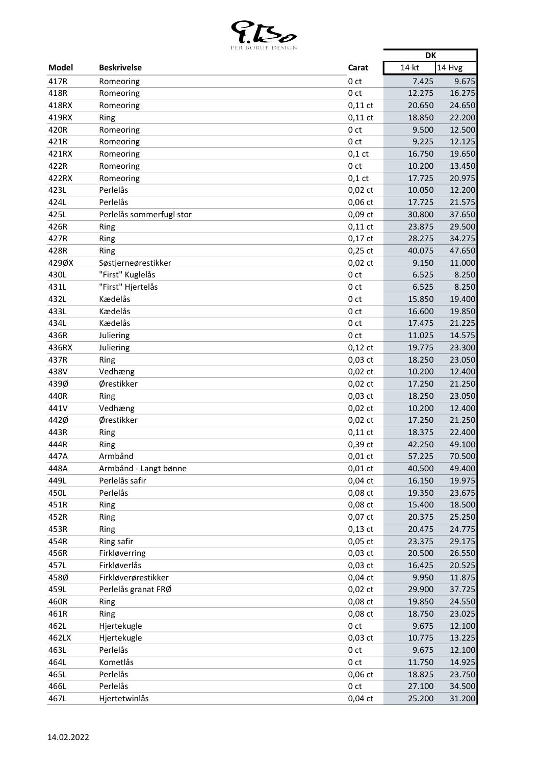

|              | LEN BUNUL DESIUIN        |                 | <b>DK</b> |        |
|--------------|--------------------------|-----------------|-----------|--------|
| <b>Model</b> | <b>Beskrivelse</b>       | Carat           | 14 kt     | 14 Hvg |
| 417R         | Romeoring                | 0 <sub>ct</sub> | 7.425     | 9.675  |
| 418R         | Romeoring                | 0 <sub>ct</sub> | 12.275    | 16.275 |
| 418RX        | Romeoring                | $0,11$ ct       | 20.650    | 24.650 |
| 419RX        | Ring                     | $0,11$ ct       | 18.850    | 22.200 |
| 420R         | Romeoring                | 0 <sub>ct</sub> | 9.500     | 12.500 |
| 421R         | Romeoring                | 0 <sub>ct</sub> | 9.225     | 12.125 |
| 421RX        | Romeoring                | $0,1$ ct        | 16.750    | 19.650 |
| 422R         | Romeoring                | 0 <sub>ct</sub> | 10.200    | 13.450 |
| 422RX        | Romeoring                | $0,1$ ct        | 17.725    | 20.975 |
| 423L         | Perlelås                 | $0,02$ ct       | 10.050    | 12.200 |
| 424L         | Perlelås                 | $0,06$ ct       | 17.725    | 21.575 |
| 425L         | Perlelås sommerfugl stor | 0,09 ct         | 30.800    | 37.650 |
| 426R         | Ring                     | $0,11$ ct       | 23.875    | 29.500 |
| 427R         | Ring                     | $0,17$ ct       | 28.275    | 34.275 |
| 428R         | Ring                     | $0,25$ ct       | 40.075    | 47.650 |
| 429ØX        | Søstjerneørestikker      | $0,02$ ct       | 9.150     | 11.000 |
| 430L         | "First" Kuglelås         | 0 <sub>ct</sub> | 6.525     | 8.250  |
| 431L         | "First" Hjertelås        | 0 <sub>ct</sub> | 6.525     | 8.250  |
| 432L         | Kædelås                  | 0 ct            | 15.850    | 19.400 |
| 433L         | Kædelås                  | 0 <sub>ct</sub> | 16.600    | 19.850 |
| 434L         | Kædelås                  | 0 <sub>ct</sub> | 17.475    | 21.225 |
| 436R         | Juliering                | 0 <sub>ct</sub> | 11.025    | 14.575 |
| 436RX        | Juliering                | $0,12$ ct       | 19.775    | 23.300 |
| 437R         | Ring                     | $0,03$ ct       | 18.250    | 23.050 |
| 438V         | Vedhæng                  | $0,02$ ct       | 10.200    | 12.400 |
| 439Ø         | Ørestikker               | $0,02$ ct       | 17.250    | 21.250 |
| 440R         | Ring                     | 0,03 ct         | 18.250    | 23.050 |
| 441V         | Vedhæng                  | $0,02$ ct       | 10.200    | 12.400 |
| 442Ø         | Ørestikker               | $0,02$ ct       | 17.250    | 21.250 |
| 443R         | Ring                     | $0,11$ ct       | 18.375    | 22.400 |
| 444R         | Ring                     | 0,39 ct         | 42.250    | 49.100 |
| 447A         | Armbånd                  | $0,01$ ct       | 57.225    | 70.500 |
| 448A         | Armbånd - Langt bønne    | $0,01$ ct       | 40.500    | 49.400 |
| 449L         | Perlelås safir           | $0,04$ ct       | 16.150    | 19.975 |
| 450L         | Perlelås                 | 0,08 ct         | 19.350    | 23.675 |
| 451R         | Ring                     | 0,08 ct         | 15.400    | 18.500 |
| 452R         | Ring                     | 0,07 ct         | 20.375    | 25.250 |
| 453R         | Ring                     | $0,13$ ct       | 20.475    | 24.775 |
| 454R         | Ring safir               | $0,05$ ct       | 23.375    | 29.175 |
| 456R         | Firkløverring            | $0,03$ ct       | 20.500    | 26.550 |
| 457L         | Firkløverlås             | $0,03$ ct       | 16.425    | 20.525 |
| 458Ø         | Firkløverørestikker      | $0,04$ ct       | 9.950     | 11.875 |
| 459L         | Perlelås granat FRØ      | $0,02$ ct       | 29.900    | 37.725 |
| 460R         | Ring                     | 0,08 ct         | 19.850    | 24.550 |
| 461R         | Ring                     | $0,08$ ct       | 18.750    | 23.025 |
| 462L         | Hjertekugle              | 0 <sub>ct</sub> | 9.675     | 12.100 |
| 462LX        | Hjertekugle              | $0,03$ ct       | 10.775    | 13.225 |
| 463L         | Perlelås                 | 0 <sub>ct</sub> | 9.675     | 12.100 |
| 464L         | Kometlås                 | 0 <sub>ct</sub> | 11.750    | 14.925 |
| 465L         | Perlelås                 | 0,06 ct         | 18.825    | 23.750 |
| 466L         | Perlelås                 | 0 <sub>ct</sub> | 27.100    | 34.500 |
| 467L         | Hjertetwinlås            | $0,04$ ct       | 25.200    | 31.200 |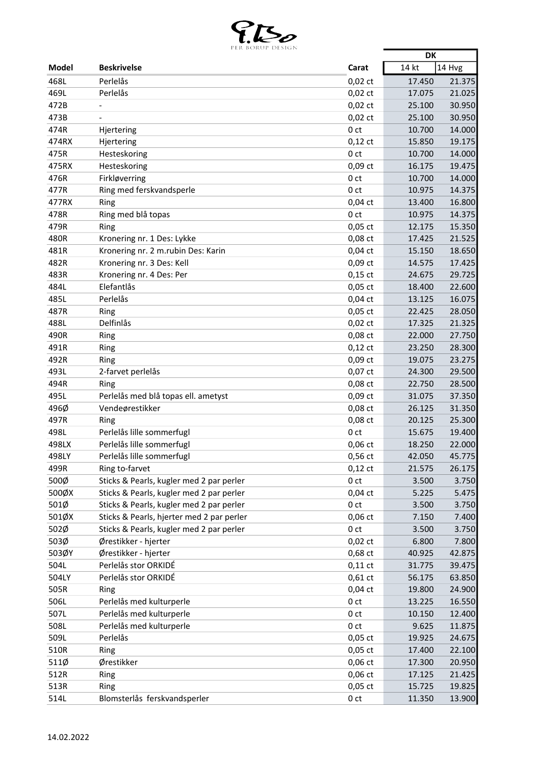

|              | EN BONGT DESIGN                           |                 | <b>DK</b>        |        |
|--------------|-------------------------------------------|-----------------|------------------|--------|
| <b>Model</b> | <b>Beskrivelse</b>                        | Carat           | 14 kt            | 14 Hvg |
| 468L         | Perlelås                                  | $0,02$ ct       | 17.450           | 21.375 |
| 469L         | Perlelås                                  | $0,02$ ct       | 17.075           | 21.025 |
| 472B         | $\qquad \qquad \blacksquare$              | $0,02$ ct       | 25.100           | 30.950 |
| 473B         |                                           | $0,02$ ct       | 25.100           | 30.950 |
| 474R         | Hjertering                                | 0 <sub>ct</sub> | 10.700           | 14.000 |
| 474RX        | Hjertering                                | $0,12$ ct       | 15.850           | 19.175 |
| 475R         | Hesteskoring                              | 0 <sub>ct</sub> | 10.700           | 14.000 |
| 475RX        | Hesteskoring                              | 0,09 ct         | 16.175           | 19.475 |
| 476R         | Firkløverring                             | 0 <sub>ct</sub> | 10.700           | 14.000 |
| 477R         | Ring med ferskvandsperle                  | 0 ct            | 10.975           | 14.375 |
| 477RX        | Ring                                      | $0,04$ ct       | 13.400           | 16.800 |
| 478R         | Ring med blå topas                        | 0 ct            | 10.975           | 14.375 |
| 479R         | Ring                                      | $0,05$ ct       | 12.175           | 15.350 |
| 480R         | Kronering nr. 1 Des: Lykke                | 0,08 ct         | 17.425           | 21.525 |
| 481R         | Kronering nr. 2 m.rubin Des: Karin        | $0,04$ ct       | 15.150           | 18.650 |
| 482R         | Kronering nr. 3 Des: Kell                 | 0,09 ct         | 14.575           | 17.425 |
| 483R         | Kronering nr. 4 Des: Per                  | $0,15$ ct       | 24.675           | 29.725 |
| 484L         | Elefantlås                                | $0,05$ ct       |                  | 22.600 |
| 485L         | Perlelås                                  | $0,04$ ct       | 18.400<br>13.125 | 16.075 |
| 487R         |                                           | 0,05 ct         | 22.425           | 28.050 |
| 488L         | Ring<br>Delfinlås                         |                 | 17.325           |        |
|              |                                           | $0,02$ ct       |                  | 21.325 |
| 490R         | Ring                                      | 0,08 ct         | 22.000           | 27.750 |
| 491R         | Ring                                      | $0,12$ ct       | 23.250           | 28.300 |
| 492R         | Ring                                      | $0,09$ ct       | 19.075           | 23.275 |
| 493L         | 2-farvet perlelås                         | 0,07 ct         | 24.300           | 29.500 |
| 494R         | Ring                                      | 0,08 ct         | 22.750           | 28.500 |
| 495L         | Perlelås med blå topas ell. ametyst       | 0,09 ct         | 31.075           | 37.350 |
| 496Ø         | Vendeørestikker                           | 0,08 ct         | 26.125           | 31.350 |
| 497R         | Ring                                      | $0,08$ ct       | 20.125           | 25.300 |
| 498L         | Perlelås lille sommerfugl                 | 0 ct            | 15.675           | 19.400 |
| 498LX        | Perlelås lille sommerfugl                 | $0,06$ ct       | 18.250           | 22.000 |
| 498LY        | Perlelås lille sommerfugl                 | $0,56$ ct       | 42.050           | 45.775 |
| 499R         | Ring to-farvet                            | $0,12$ ct       | 21.575           | 26.175 |
| 500Ø         | Sticks & Pearls, kugler med 2 par perler  | 0 <sub>ct</sub> | 3.500            | 3.750  |
| 500ØX        | Sticks & Pearls, kugler med 2 par perler  | $0,04$ ct       | 5.225            | 5.475  |
| 501Ø         | Sticks & Pearls, kugler med 2 par perler  | 0 <sub>ct</sub> | 3.500            | 3.750  |
| 501ØX        | Sticks & Pearls, hjerter med 2 par perler | $0,06$ ct       | 7.150            | 7.400  |
| 502Ø         | Sticks & Pearls, kugler med 2 par perler  | 0 <sub>ct</sub> | 3.500            | 3.750  |
| 503Ø         | Ørestikker - hjerter                      | $0,02$ ct       | 6.800            | 7.800  |
| 503ØY        | Ørestikker - hjerter                      | 0,68 ct         | 40.925           | 42.875 |
| 504L         | Perlelås stor ORKIDÉ                      | $0,11$ ct       | 31.775           | 39.475 |
| 504LY        | Perlelås stor ORKIDÉ                      | $0,61$ ct       | 56.175           | 63.850 |
| 505R         | Ring                                      | $0,04$ ct       | 19.800           | 24.900 |
| 506L         | Perlelås med kulturperle                  | 0 <sub>ct</sub> | 13.225           | 16.550 |
| 507L         | Perlelås med kulturperle                  | 0 <sub>ct</sub> | 10.150           | 12.400 |
| 508L         | Perlelås med kulturperle                  | 0 ct            | 9.625            | 11.875 |
| 509L         | Perlelås                                  | $0,05$ ct       | 19.925           | 24.675 |
| 510R         | Ring                                      | $0,05$ ct       | 17.400           | 22.100 |
| 511Ø         | Ørestikker                                | 0,06 ct         | 17.300           | 20.950 |
| 512R         | Ring                                      | 0,06 ct         | 17.125           | 21.425 |
| 513R         | Ring                                      | $0,05$ ct       | 15.725           | 19.825 |
| 514L         | Blomsterlås ferskvandsperler              | 0 <sub>ct</sub> | 11.350           | 13.900 |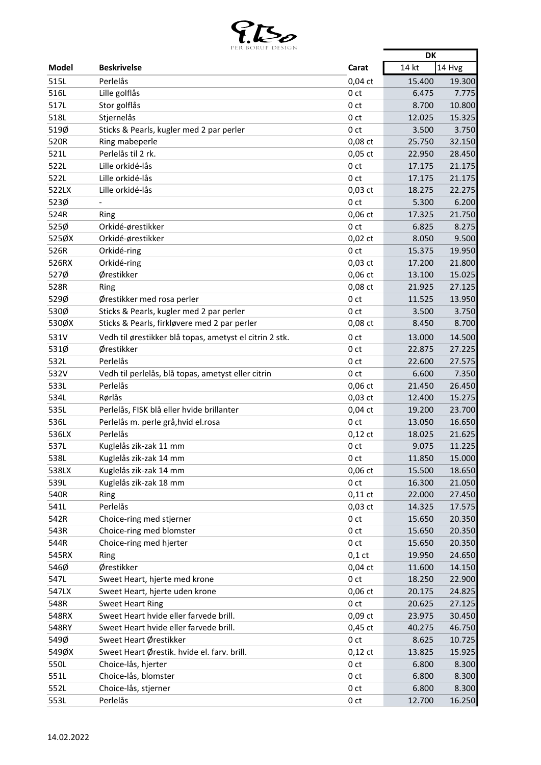

|       | ter burut desiun                                        |                 | <b>DK</b> |        |
|-------|---------------------------------------------------------|-----------------|-----------|--------|
| Model | <b>Beskrivelse</b>                                      | Carat           | 14 kt     | 14 Hvg |
| 515L  | Perlelås                                                | $0,04$ ct       | 15.400    | 19.300 |
| 516L  | Lille golflås                                           | 0 <sub>ct</sub> | 6.475     | 7.775  |
| 517L  | Stor golflås                                            | 0 <sub>ct</sub> | 8.700     | 10.800 |
| 518L  | Stjernelås                                              | 0 <sub>ct</sub> | 12.025    | 15.325 |
| 519Ø  | Sticks & Pearls, kugler med 2 par perler                | 0 <sub>ct</sub> | 3.500     | 3.750  |
| 520R  | Ring mabeperle                                          | 0,08 ct         | 25.750    | 32.150 |
| 521L  | Perlelås til 2 rk.                                      | $0,05$ ct       | 22.950    | 28.450 |
| 522L  | Lille orkidé-lås                                        | 0 <sub>ct</sub> | 17.175    | 21.175 |
| 522L  | Lille orkidé-lås                                        | 0 <sub>ct</sub> | 17.175    | 21.175 |
| 522LX | Lille orkidé-lås                                        | $0,03$ ct       | 18.275    | 22.275 |
| 523Ø  | $\overline{\phantom{a}}$                                | 0 <sub>ct</sub> | 5.300     | 6.200  |
| 524R  | Ring                                                    | $0,06$ ct       | 17.325    | 21.750 |
| 525Ø  | Orkidé-ørestikker                                       | 0 <sub>ct</sub> | 6.825     | 8.275  |
| 525ØX | Orkidé-ørestikker                                       | $0,02$ ct       | 8.050     | 9.500  |
| 526R  | Orkidé-ring                                             | 0 <sub>ct</sub> | 15.375    | 19.950 |
| 526RX | Orkidé-ring                                             | $0,03$ ct       | 17.200    | 21.800 |
| 527Ø  | Ørestikker                                              | $0,06$ ct       | 13.100    | 15.025 |
| 528R  | Ring                                                    | 0,08 ct         | 21.925    | 27.125 |
| 529Ø  | Ørestikker med rosa perler                              | 0 <sub>ct</sub> | 11.525    | 13.950 |
| 530Ø  | Sticks & Pearls, kugler med 2 par perler                | 0 <sub>ct</sub> | 3.500     | 3.750  |
| 530ØX | Sticks & Pearls, firkløvere med 2 par perler            | $0,08$ ct       | 8.450     | 8.700  |
| 531V  | Vedh til ørestikker blå topas, ametyst el citrin 2 stk. | 0 <sub>ct</sub> | 13.000    | 14.500 |
| 531Ø  | Ørestikker                                              | 0 <sub>ct</sub> | 22.875    | 27.225 |
| 532L  | Perlelås                                                | 0 <sub>ct</sub> | 22.600    | 27.575 |
| 532V  | Vedh til perlelås, blå topas, ametyst eller citrin      | 0 <sub>ct</sub> | 6.600     | 7.350  |
| 533L  | Perlelås                                                | $0,06$ ct       | 21.450    | 26.450 |
| 534L  | Rørlås                                                  | $0,03$ ct       | 12.400    | 15.275 |
| 535L  | Perlelås, FISK blå eller hvide brillanter               | $0,04$ ct       | 19.200    | 23.700 |
| 536L  | Perlelås m. perle grå, hvid el.rosa                     | 0 <sub>ct</sub> | 13.050    | 16.650 |
| 536LX | Perlelås                                                | $0,12$ ct       | 18.025    | 21.625 |
| 537L  | Kuglelås zik-zak 11 mm                                  | 0 ct            | 9.075     | 11.225 |
| 538L  | Kuglelås zik-zak 14 mm                                  | 0 <sub>ct</sub> | 11.850    | 15.000 |
| 538LX | Kuglelås zik-zak 14 mm                                  | $0,06$ ct       | 15.500    | 18.650 |
| 539L  | Kuglelås zik-zak 18 mm                                  | 0 <sub>ct</sub> | 16.300    | 21.050 |
| 540R  | Ring                                                    | $0,11$ ct       | 22.000    | 27.450 |
| 541L  | Perlelås                                                | $0,03$ ct       | 14.325    | 17.575 |
| 542R  | Choice-ring med stjerner                                | 0 <sub>ct</sub> | 15.650    | 20.350 |
| 543R  | Choice-ring med blomster                                | 0 <sub>ct</sub> | 15.650    | 20.350 |
| 544R  | Choice-ring med hjerter                                 | 0 <sub>ct</sub> | 15.650    | 20.350 |
| 545RX | Ring                                                    | $0,1$ ct        | 19.950    | 24.650 |
| 546Ø  | Ørestikker                                              | $0,04$ ct       | 11.600    | 14.150 |
| 547L  | Sweet Heart, hjerte med krone                           | 0 <sub>ct</sub> | 18.250    | 22.900 |
| 547LX | Sweet Heart, hjerte uden krone                          | $0,06$ ct       | 20.175    | 24.825 |
| 548R  | <b>Sweet Heart Ring</b>                                 | 0 <sub>ct</sub> | 20.625    | 27.125 |
| 548RX | Sweet Heart hvide eller farvede brill.                  | $0,09$ ct       | 23.975    | 30.450 |
| 548RY | Sweet Heart hvide eller farvede brill.                  | $0,45$ ct       | 40.275    | 46.750 |
| 549Ø  | Sweet Heart Ørestikker                                  | 0 <sub>ct</sub> | 8.625     | 10.725 |
| 549ØX | Sweet Heart Ørestik. hvide el. farv. brill.             | $0,12$ ct       | 13.825    | 15.925 |
| 550L  | Choice-lås, hjerter                                     | 0 <sub>ct</sub> | 6.800     | 8.300  |
| 551L  | Choice-lås, blomster                                    | 0 <sub>ct</sub> | 6.800     | 8.300  |
| 552L  | Choice-lås, stjerner                                    | 0 <sub>ct</sub> | 6.800     | 8.300  |
| 553L  | Perlelås                                                | 0 <sub>ct</sub> | 12.700    | 16.250 |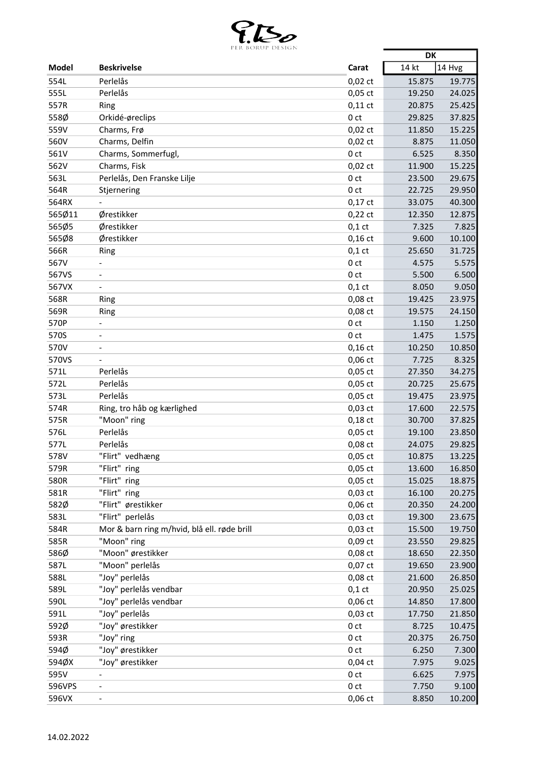

|              | LEN BONUL DESIGIN                           |                 | <b>DK</b> |        |
|--------------|---------------------------------------------|-----------------|-----------|--------|
| <b>Model</b> | <b>Beskrivelse</b>                          | Carat           | 14 kt     | 14 Hvg |
| 554L         | Perlelås                                    | $0,02$ ct       | 15.875    | 19.775 |
| 555L         | Perlelås                                    | $0,05$ ct       | 19.250    | 24.025 |
| 557R         | Ring                                        | $0,11$ ct       | 20.875    | 25.425 |
| 558Ø         | Orkidé-øreclips                             | 0 <sub>ct</sub> | 29.825    | 37.825 |
| 559V         | Charms, Frø                                 | $0,02$ ct       | 11.850    | 15.225 |
| 560V         | Charms, Delfin                              | $0,02$ ct       | 8.875     | 11.050 |
| 561V         | Charms, Sommerfugl,                         | 0 <sub>ct</sub> | 6.525     | 8.350  |
| 562V         | Charms, Fisk                                | $0,02$ ct       | 11.900    | 15.225 |
| 563L         | Perlelås, Den Franske Lilje                 | 0 <sub>ct</sub> | 23.500    | 29.675 |
| 564R         | Stjernering                                 | 0 ct            | 22.725    | 29.950 |
| 564RX        |                                             | $0,17$ ct       | 33.075    | 40.300 |
| 565Ø11       | Ørestikker                                  | $0,22$ ct       | 12.350    | 12.875 |
| 565Ø5        | Ørestikker                                  | $0,1$ ct        | 7.325     | 7.825  |
| 565Ø8        | Ørestikker                                  | $0,16$ ct       | 9.600     | 10.100 |
| 566R         | Ring                                        | $0,1$ ct        | 25.650    | 31.725 |
| 567V         |                                             | 0 <sub>ct</sub> | 4.575     | 5.575  |
| 567VS        | $\overline{\phantom{a}}$                    | 0 <sub>ct</sub> | 5.500     | 6.500  |
| 567VX        |                                             | $0,1$ ct        | 8.050     | 9.050  |
| 568R         | Ring                                        | 0,08 ct         | 19.425    | 23.975 |
| 569R         | Ring                                        | 0,08 ct         | 19.575    | 24.150 |
| 570P         | $\overline{\phantom{a}}$                    | 0 <sub>ct</sub> | 1.150     | 1.250  |
| 570S         |                                             | 0 <sub>ct</sub> | 1.475     | 1.575  |
| 570V         |                                             | $0,16$ ct       | 10.250    | 10.850 |
| 570VS        |                                             | 0,06 ct         | 7.725     | 8.325  |
| 571L         | Perlelås                                    | 0,05 ct         | 27.350    | 34.275 |
| 572L         | Perlelås                                    | $0,05$ ct       | 20.725    | 25.675 |
| 573L         | Perlelås                                    | $0,05$ ct       | 19.475    | 23.975 |
| 574R         | Ring, tro håb og kærlighed                  | 0,03 ct         | 17.600    | 22.575 |
| 575R         | "Moon" ring                                 | $0,18$ ct       | 30.700    | 37.825 |
| 576L         | Perlelås                                    | $0,05$ ct       | 19.100    | 23.850 |
| 577L         | Perlelås                                    | 0,08 ct         | 24.075    | 29.825 |
| 578V         | "Flirt" vedhæng                             | 0,05 ct         | 10.875    | 13.225 |
| 579R         | "Flirt" ring                                | $0,05$ ct       | 13.600    | 16.850 |
| 580R         | "Flirt" ring                                | $0,05$ ct       | 15.025    | 18.875 |
| 581R         | "Flirt" ring                                | $0,03$ ct       | 16.100    | 20.275 |
| 582Ø         | "Flirt" ørestikker                          | 0,06 ct         | 20.350    | 24.200 |
| 583L         | "Flirt" perlelås                            | $0,03$ ct       | 19.300    | 23.675 |
| 584R         | Mor & barn ring m/hvid, blå ell. røde brill | $0,03$ ct       | 15.500    | 19.750 |
| 585R         | "Moon" ring                                 | 0,09 ct         | 23.550    | 29.825 |
| 586Ø         | "Moon" ørestikker                           | 0,08 ct         | 18.650    | 22.350 |
| 587L         | "Moon" perlelås                             | 0,07 ct         | 19.650    | 23.900 |
| 588L         | "Joy" perlelås                              | 0,08 ct         | 21.600    | 26.850 |
| 589L         | "Joy" perlelås vendbar                      | $0,1$ ct        | 20.950    | 25.025 |
| 590L         | "Joy" perlelås vendbar                      | 0,06 ct         | 14.850    | 17.800 |
| 591L         | "Joy" perlelås                              | $0,03$ ct       | 17.750    | 21.850 |
| 592Ø         | "Joy" ørestikker                            | 0 <sub>ct</sub> | 8.725     | 10.475 |
| 593R         | "Joy" ring                                  | 0 ct            | 20.375    | 26.750 |
| 594Ø         | "Joy" ørestikker                            | 0 <sub>ct</sub> | 6.250     | 7.300  |
| 594ØX        | "Joy" ørestikker                            | $0,04$ ct       | 7.975     | 9.025  |
| 595V         | $\overline{\phantom{a}}$                    | 0 ct            | 6.625     | 7.975  |
| 596VPS       | $\overline{\phantom{a}}$                    | 0 <sub>ct</sub> | 7.750     | 9.100  |
| 596VX        | $\qquad \qquad \blacksquare$                | 0,06 ct         | 8.850     | 10.200 |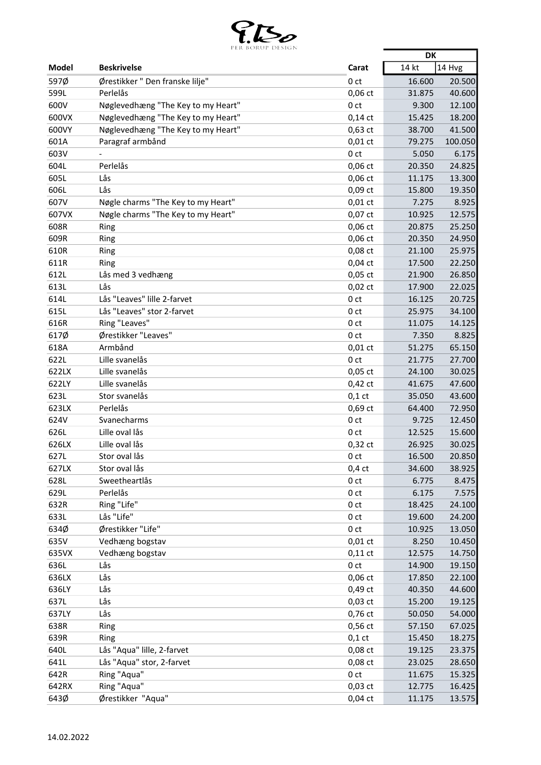

|              | PER BORUP DESIGN                   |                 | <b>DK</b> |         |
|--------------|------------------------------------|-----------------|-----------|---------|
| Model        | <b>Beskrivelse</b>                 | Carat           | 14 kt     | 14 Hvg  |
| 597Ø         | Ørestikker "Den franske lilje"     | 0 ct            | 16.600    | 20.500  |
| 599L         | Perlelås                           | 0,06 ct         | 31.875    | 40.600  |
| 600V         | Nøglevedhæng "The Key to my Heart" | 0 <sub>ct</sub> | 9.300     | 12.100  |
| 600VX        | Nøglevedhæng "The Key to my Heart" | $0,14$ ct       | 15.425    | 18.200  |
| 600VY        | Nøglevedhæng "The Key to my Heart" | $0,63$ ct       | 38.700    | 41.500  |
| 601A         | Paragraf armbånd                   | $0,01$ ct       | 79.275    | 100.050 |
| 603V         |                                    | 0 <sub>ct</sub> | 5.050     | 6.175   |
| 604L         | Perlelås                           | 0,06 ct         | 20.350    | 24.825  |
| 605L         | Lås                                | 0,06 ct         | 11.175    | 13.300  |
| 606L         | Lås                                | $0,09$ ct       | 15.800    | 19.350  |
| 607V         | Nøgle charms "The Key to my Heart" | $0,01$ ct       | 7.275     | 8.925   |
| 607VX        | Nøgle charms "The Key to my Heart" | 0,07 ct         | 10.925    | 12.575  |
| 608R         | Ring                               | $0,06$ ct       | 20.875    | 25.250  |
| 609R         | Ring                               | $0,06$ ct       | 20.350    | 24.950  |
| 610R         | Ring                               | 0,08 ct         | 21.100    | 25.975  |
| 611R         | Ring                               | $0,04$ ct       | 17.500    | 22.250  |
| 612L         | Lås med 3 vedhæng                  | 0,05 ct         | 21.900    | 26.850  |
| 613L         | Lås                                | $0,02$ ct       | 17.900    | 22.025  |
| 614L         | Lås "Leaves" lille 2-farvet        | 0 <sub>ct</sub> | 16.125    | 20.725  |
| 615L         | Lås "Leaves" stor 2-farvet         | 0 <sub>ct</sub> | 25.975    | 34.100  |
| 616R         | Ring "Leaves"                      | 0 <sub>ct</sub> | 11.075    | 14.125  |
| 617Ø         | Ørestikker "Leaves"                | 0 <sub>ct</sub> | 7.350     | 8.825   |
| 618A         | Armbånd                            | $0,01$ ct       | 51.275    | 65.150  |
| 622L         | Lille svanelås                     | 0 <sub>ct</sub> | 21.775    | 27.700  |
| 622LX        | Lille svanelås                     | $0,05$ ct       | 24.100    | 30.025  |
| 622LY        | Lille svanelås                     | $0,42$ ct       | 41.675    | 47.600  |
| 623L         | Stor svanelås                      | $0,1$ ct        | 35.050    | 43.600  |
| 623LX        | Perlelås                           | 0,69 ct         | 64.400    | 72.950  |
| 624V         | Svanecharms                        | 0 ct            | 9.725     | 12.450  |
| 626L         | Lille oval lås                     | 0 <sub>ct</sub> | 12.525    | 15.600  |
| 626LX        | Lille oval lås                     | $0,32$ ct       | 26.925    | 30.025  |
| 627L         | Stor oval lås                      |                 | 16.500    | 20.850  |
| 627LX        | Stor oval lås                      | 0 ct            | 34.600    |         |
| 628L         | Sweetheartlås                      | $0,4$ ct        |           | 38.925  |
|              |                                    | 0 <sub>ct</sub> | 6.775     | 8.475   |
| 629L         | Perlelås<br>Ring "Life"            | 0 <sub>ct</sub> | 6.175     | 7.575   |
| 632R<br>633L |                                    | 0 ct            | 18.425    | 24.100  |
|              | Lås "Life"<br>Ørestikker "Life"    | 0 <sub>ct</sub> | 19.600    | 24.200  |
| 634Ø         |                                    | 0 <sub>ct</sub> | 10.925    | 13.050  |
| 635V         | Vedhæng bogstav                    | $0,01$ ct       | 8.250     | 10.450  |
| 635VX        | Vedhæng bogstav                    | $0,11$ ct       | 12.575    | 14.750  |
| 636L         | Lås                                | 0 <sub>ct</sub> | 14.900    | 19.150  |
| 636LX        | Lås                                | $0,06$ ct       | 17.850    | 22.100  |
| 636LY        | Lås                                | 0,49 ct         | 40.350    | 44.600  |
| 637L         | Lås                                | $0,03$ ct       | 15.200    | 19.125  |
| 637LY        | Lås                                | 0,76 ct         | 50.050    | 54.000  |
| 638R         | Ring                               | $0,56$ ct       | 57.150    | 67.025  |
| 639R         | Ring                               | $0,1$ ct        | 15.450    | 18.275  |
| 640L         | Lås "Aqua" lille, 2-farvet         | 0,08 ct         | 19.125    | 23.375  |
| 641L         | Lås "Aqua" stor, 2-farvet          | 0,08 ct         | 23.025    | 28.650  |
| 642R         | Ring "Aqua"                        | 0 <sub>ct</sub> | 11.675    | 15.325  |
| 642RX        | Ring "Aqua"                        | $0,03$ ct       | 12.775    | 16.425  |
| 643Ø         | Ørestikker "Aqua"                  | $0,04$ ct       | 11.175    | 13.575  |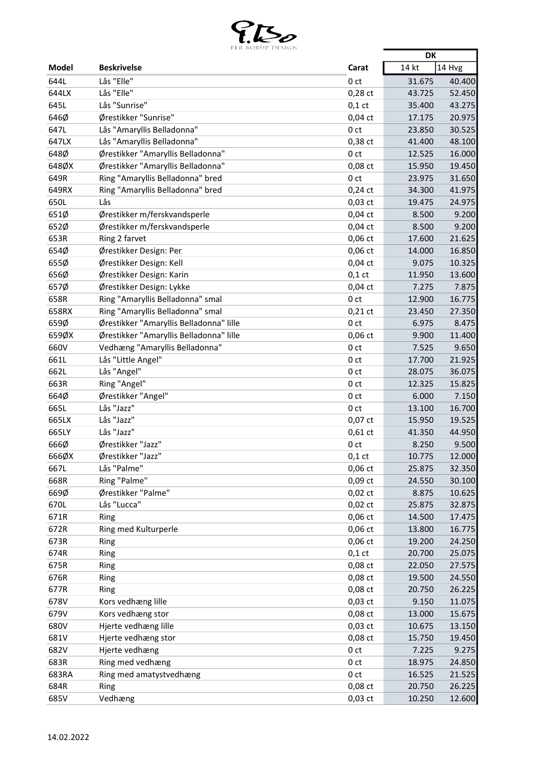

|       | LEN DUNUT DEJIUIN                       |                 | <b>DK</b> |        |
|-------|-----------------------------------------|-----------------|-----------|--------|
| Model | <b>Beskrivelse</b>                      | Carat           | 14 kt     | 14 Hvg |
| 644L  | Lås "Elle"                              | 0 <sub>ct</sub> | 31.675    | 40.400 |
| 644LX | Lås "Elle"                              | $0,28$ ct       | 43.725    | 52.450 |
| 645L  | Lås "Sunrise"                           | $0,1$ ct        | 35.400    | 43.275 |
| 646Ø  | Ørestikker "Sunrise"                    | $0,04$ ct       | 17.175    | 20.975 |
| 647L  | Lås "Amaryllis Belladonna"              | 0 <sub>ct</sub> | 23.850    | 30.525 |
| 647LX | Lås "Amaryllis Belladonna"              | 0,38 ct         | 41.400    | 48.100 |
| 648Ø  | Ørestikker "Amaryllis Belladonna"       | 0 <sub>ct</sub> | 12.525    | 16.000 |
| 648ØX | Ørestikker "Amaryllis Belladonna"       | 0,08 ct         | 15.950    | 19.450 |
| 649R  | Ring "Amaryllis Belladonna" bred        | 0 <sub>ct</sub> | 23.975    | 31.650 |
| 649RX | Ring "Amaryllis Belladonna" bred        | $0,24$ ct       | 34.300    | 41.975 |
| 650L  | Lås                                     | $0,03$ ct       | 19.475    | 24.975 |
| 651Ø  | Ørestikker m/ferskvandsperle            | $0,04$ ct       | 8.500     | 9.200  |
| 652Ø  | Ørestikker m/ferskvandsperle            | $0,04$ ct       | 8.500     | 9.200  |
| 653R  | Ring 2 farvet                           | $0,06$ ct       | 17.600    | 21.625 |
| 654Ø  | Ørestikker Design: Per                  | $0,06$ ct       | 14.000    | 16.850 |
| 655Ø  | Ørestikker Design: Kell                 | $0,04$ ct       | 9.075     | 10.325 |
| 656Ø  | Ørestikker Design: Karin                | $0,1$ ct        | 11.950    | 13.600 |
| 657Ø  | Ørestikker Design: Lykke                | $0,04$ ct       | 7.275     | 7.875  |
| 658R  | Ring "Amaryllis Belladonna" smal        | 0 <sub>ct</sub> | 12.900    | 16.775 |
| 658RX | Ring "Amaryllis Belladonna" smal        | $0,21$ ct       | 23.450    | 27.350 |
| 659Ø  | Ørestikker "Amaryllis Belladonna" lille | 0 <sub>ct</sub> | 6.975     | 8.475  |
| 659ØX | Ørestikker "Amaryllis Belladonna" lille | $0,06$ ct       | 9.900     | 11.400 |
| 660V  | Vedhæng "Amaryllis Belladonna"          | 0 <sub>ct</sub> | 7.525     | 9.650  |
| 661L  | Lås "Little Angel"                      | 0 <sub>ct</sub> | 17.700    | 21.925 |
| 662L  | Lås "Angel"                             | 0 <sub>ct</sub> | 28.075    | 36.075 |
| 663R  | Ring "Angel"                            | 0 <sub>ct</sub> | 12.325    | 15.825 |
| 664Ø  | Ørestikker "Angel"                      | 0 <sub>ct</sub> | 6.000     | 7.150  |
| 665L  | Lås "Jazz"                              | 0 ct            | 13.100    | 16.700 |
| 665LX | Lås "Jazz"                              | 0,07 ct         | 15.950    | 19.525 |
| 665LY | Lås "Jazz"                              | $0,61$ ct       | 41.350    | 44.950 |
| 666Ø  | Ørestikker "Jazz"                       | 0 ct            | 8.250     | 9.500  |
| 666ØX | Ørestikker "Jazz"                       | $0,1$ ct        | 10.775    | 12.000 |
| 667L  | Lås "Palme"                             | $0,06$ ct       | 25.875    | 32.350 |
| 668R  | Ring "Palme"                            | 0,09 ct         | 24.550    | 30.100 |
| 669Ø  | Ørestikker "Palme"                      | $0,02$ ct       | 8.875     | 10.625 |
| 670L  | Lås "Lucca"                             | $0,02$ ct       | 25.875    | 32.875 |
| 671R  | Ring                                    | 0,06 ct         | 14.500    | 17.475 |
| 672R  | Ring med Kulturperle                    | $0,06$ ct       | 13.800    | 16.775 |
| 673R  | Ring                                    | $0,06$ ct       | 19.200    | 24.250 |
| 674R  | Ring                                    | $0,1$ ct        | 20.700    | 25.075 |
| 675R  | Ring                                    | 0,08 ct         | 22.050    | 27.575 |
| 676R  | Ring                                    | 0,08 ct         | 19.500    | 24.550 |
| 677R  | Ring                                    | 0,08 ct         | 20.750    | 26.225 |
| 678V  | Kors vedhæng lille                      | $0,03$ ct       | 9.150     | 11.075 |
| 679V  | Kors vedhæng stor                       | 0,08 ct         | 13.000    | 15.675 |
| 680V  | Hjerte vedhæng lille                    | $0,03$ ct       | 10.675    | 13.150 |
| 681V  | Hjerte vedhæng stor                     | 0,08 ct         | 15.750    | 19.450 |
| 682V  | Hjerte vedhæng                          | 0 <sub>ct</sub> | 7.225     | 9.275  |
| 683R  | Ring med vedhæng                        | 0 <sub>ct</sub> | 18.975    | 24.850 |
| 683RA | Ring med amatystvedhæng                 | 0 ct            | 16.525    | 21.525 |
| 684R  | Ring                                    | 0,08 ct         | 20.750    | 26.225 |
| 685V  | Vedhæng                                 | $0,03$ ct       | 10.250    | 12.600 |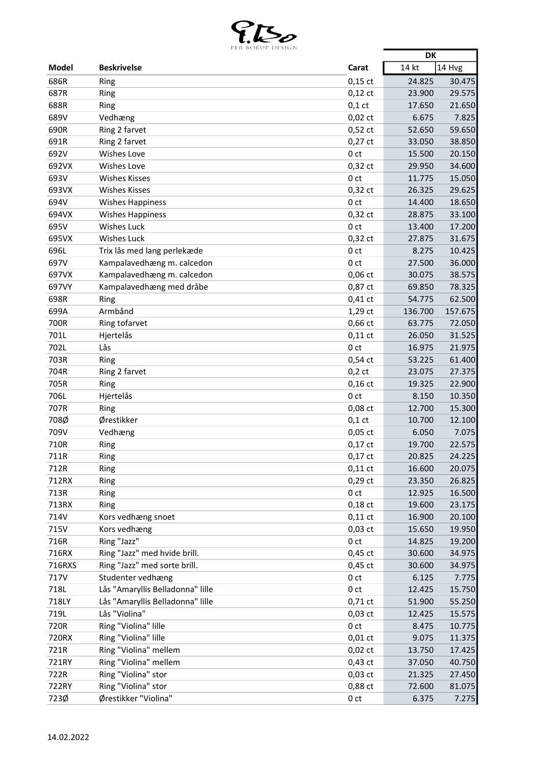

|               | LEN BUNUL DESIUIN                |                        | <b>DK</b>                  |
|---------------|----------------------------------|------------------------|----------------------------|
| <b>Model</b>  | <b>Beskrivelse</b>               | Carat                  | 14 kt<br>14 Hvg            |
| 686R          | Ring                             | $0,15$ ct              | 24.825<br>30.475           |
| 687R          | Ring                             | $0,12$ ct              | 29.575<br>23.900           |
| 688R          | Ring                             | $0,1$ ct               | 17.650<br>21.650           |
| 689V          | Vedhæng                          | $0,02$ ct              | 6.675<br>7.825             |
| 690R          | Ring 2 farvet                    | $0,52$ ct              | 52.650<br>59.650           |
| 691R          | Ring 2 farvet                    | $0,27$ ct              | 33.050<br>38.850           |
| 692V          | <b>Wishes Love</b>               | 0 <sub>ct</sub>        | 15.500<br>20.150           |
| 692VX         | Wishes Love                      | 0,32 ct                | 34.600<br>29.950           |
| 693V          | <b>Wishes Kisses</b>             | 0 <sub>ct</sub>        | 11.775<br>15.050           |
| 693VX         | <b>Wishes Kisses</b>             | 0,32 ct                | 26.325<br>29.625           |
| 694V          | <b>Wishes Happiness</b>          | 0 <sub>ct</sub>        | 14.400<br>18.650           |
| 694VX         | <b>Wishes Happiness</b>          | $0,32$ ct              | 28.875<br>33.100           |
| 695V          | <b>Wishes Luck</b>               | 0 <sub>ct</sub>        | 13.400<br>17.200           |
| 695VX         | <b>Wishes Luck</b>               | $0,32$ ct              | 27.875<br>31.675           |
| 696L          | Trix lås med lang perlekæde      | 0 <sub>ct</sub>        | 8.275<br>10.425            |
| 697V          | Kampalavedhæng m. calcedon       | 0 <sub>ct</sub>        | 27.500<br>36.000           |
| 697VX         | Kampalavedhæng m. calcedon       | 0,06 ct                | 30.075<br>38.575           |
| 697VY         | Kampalavedhæng med dråbe         | 0,87 ct                | 69.850<br>78.325           |
| 698R          | Ring                             | $0,41$ ct              | 54.775<br>62.500           |
| 699A          | Armbånd                          | 1,29 ct                | 136.700<br>157.675         |
| 700R          | Ring tofarvet                    | 0,66 ct                | 63.775<br>72.050           |
| 701L          | Hjertelås                        | $0,11$ ct              | 26.050<br>31.525           |
| 702L          | Lås                              | 0 <sub>ct</sub>        | 16.975<br>21.975           |
| 703R          |                                  | $0,54$ ct              | 53.225<br>61.400           |
| 704R          | Ring<br>Ring 2 farvet            | $0,2$ ct               | 27.375                     |
| 705R          | Ring                             | $0,16$ ct              | 23.075<br>19.325<br>22.900 |
| 706L          | Hjertelås                        | 0 <sub>ct</sub>        | 10.350<br>8.150            |
| 707R          | Ring                             | $0,08$ ct              | 15.300<br>12.700           |
| 708Ø          | Ørestikker                       | $0,1$ ct               | 12.100<br>10.700           |
| 709V          | Vedhæng                          | $0,05$ ct              | 6.050<br>7.075             |
| 710R          | Ring                             | $0,17$ ct              | 19.700<br>22.575           |
| 711R          | Ring                             | $0,17$ ct              | 24.225<br>20.825           |
|               |                                  |                        | 16.600<br>20.075           |
| 712R<br>712RX | Ring<br>Ring                     | $0,11$ ct<br>$0,29$ ct | 23.350<br>26.825           |
| 713R          | Ring                             | 0 <sub>ct</sub>        | 12.925<br>16.500           |
| 713RX         | Ring                             | $0,18$ ct              | 19.600<br>23.175           |
| 714V          | Kors vedhæng snoet               | $0,11$ ct              | 16.900<br>20.100           |
| 715V          | Kors vedhæng                     | $0,03$ ct              | 19.950<br>15.650           |
| 716R          | Ring "Jazz"                      | 0 <sub>ct</sub>        | 14.825<br>19.200           |
| 716RX         | Ring "Jazz" med hvide brill.     | $0,45$ ct              | 30.600<br>34.975           |
| 716RXS        | Ring "Jazz" med sorte brill.     | $0,45$ ct              | 30.600<br>34.975           |
| 717V          | Studenter vedhæng                | 0 <sub>ct</sub>        | 6.125<br>7.775             |
| 718L          | Lås "Amaryllis Belladonna" lille | 0 <sub>ct</sub>        | 15.750<br>12.425           |
| 718LY         | Lås "Amaryllis Belladonna" lille | $0,71$ ct              | 51.900<br>55.250           |
| 719L          | Lås "Violina"                    | $0,03$ ct              | 12.425<br>15.575           |
| 720R          | Ring "Violina" lille             | 0 <sub>ct</sub>        | 8.475<br>10.775            |
| 720RX         | Ring "Violina" lille             | $0,01$ ct              | 9.075<br>11.375            |
| 721R          | Ring "Violina" mellem            | $0,02$ ct              | 13.750<br>17.425           |
| 721RY         | Ring "Violina" mellem            | 0,43 ct                | 37.050<br>40.750           |
| 722R          | Ring "Violina" stor              | $0,03$ ct              | 21.325<br>27.450           |
| 722RY         | Ring "Violina" stor              | 0,88 ct                | 72.600<br>81.075           |
| 723Ø          | Ørestikker "Violina"             | 0 <sub>ct</sub>        | 6.375<br>7.275             |
|               |                                  |                        |                            |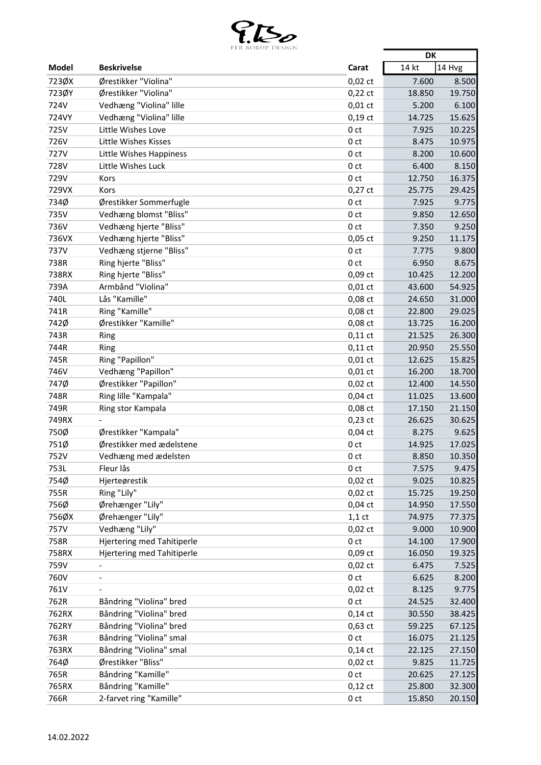

|             | PER BURUP DESIGN                  |                 | <b>DK</b> |        |
|-------------|-----------------------------------|-----------------|-----------|--------|
| Model       | <b>Beskrivelse</b>                | Carat           | 14 kt     | 14 Hvg |
| 723ØX       | Ørestikker "Violina"              | $0,02$ ct       | 7.600     | 8.500  |
| 723ØY       | Ørestikker "Violina"              | $0,22$ ct       | 18.850    | 19.750 |
| 724V        | Vedhæng "Violina" lille           | $0,01$ ct       | 5.200     | 6.100  |
| 724VY       | Vedhæng "Violina" lille           | $0,19$ ct       | 14.725    | 15.625 |
| 725V        | Little Wishes Love                | 0 <sub>ct</sub> | 7.925     | 10.225 |
| 726V        | Little Wishes Kisses              | 0 <sub>ct</sub> | 8.475     | 10.975 |
| <b>727V</b> | Little Wishes Happiness           | 0 <sub>ct</sub> | 8.200     | 10.600 |
| 728V        | Little Wishes Luck                | 0 <sub>ct</sub> | 6.400     | 8.150  |
| 729V        | Kors                              | 0 ct            | 12.750    | 16.375 |
| 729VX       | Kors                              | $0,27$ ct       | 25.775    | 29.425 |
| 734Ø        | Ørestikker Sommerfugle            | 0 <sub>ct</sub> | 7.925     | 9.775  |
| 735V        | Vedhæng blomst "Bliss"            | 0 <sub>ct</sub> | 9.850     | 12.650 |
| 736V        | Vedhæng hjerte "Bliss"            |                 |           |        |
|             |                                   | 0 <sub>ct</sub> | 7.350     | 9.250  |
| 736VX       | Vedhæng hjerte "Bliss"            | $0,05$ ct       | 9.250     | 11.175 |
| 737V        | Vedhæng stjerne "Bliss"           | 0 <sub>ct</sub> | 7.775     | 9.800  |
| 738R        | Ring hjerte "Bliss"               | 0 <sub>ct</sub> | 6.950     | 8.675  |
| 738RX       | Ring hjerte "Bliss"               | 0,09 ct         | 10.425    | 12.200 |
| 739A        | Armbånd "Violina"                 | $0,01$ ct       | 43.600    | 54.925 |
| 740L        | Lås "Kamille"                     | 0,08 ct         | 24.650    | 31.000 |
| 741R        | Ring "Kamille"                    | 0,08 ct         | 22.800    | 29.025 |
| 742Ø        | Ørestikker "Kamille"              | 0,08 ct         | 13.725    | 16.200 |
| 743R        | Ring                              | $0,11$ ct       | 21.525    | 26.300 |
| 744R        | Ring                              | $0,11$ ct       | 20.950    | 25.550 |
| 745R        | Ring "Papillon"                   | $0,01$ ct       | 12.625    | 15.825 |
| 746V        | Vedhæng "Papillon"                | $0,01$ ct       | 16.200    | 18.700 |
| 747Ø        | Ørestikker "Papillon"             | $0,02$ ct       | 12.400    | 14.550 |
| 748R        | Ring lille "Kampala"              | $0,04$ ct       | 11.025    | 13.600 |
| 749R        | Ring stor Kampala                 | $0,08$ ct       | 17.150    | 21.150 |
| 749RX       |                                   | $0,23$ ct       | 26.625    | 30.625 |
| 750Ø        | Ørestikker "Kampala"              | $0,04$ ct       | 8.275     | 9.625  |
| 751Ø        | Ørestikker med ædelstene          | 0 ct            | 14.925    | 17.025 |
| 752V        | Vedhæng med ædelsten              | 0 <sub>ct</sub> | 8.850     | 10.350 |
| 753L        | Fleur lås                         | 0 ct            | 7.575     | 9.475  |
| 754Ø        | Hjerteørestik                     | $0,02$ ct       | 9.025     | 10.825 |
| 755R        | Ring "Lily"                       | $0,02$ ct       | 15.725    | 19.250 |
| 756Ø        | Ørehænger "Lily"                  | $0,04$ ct       | 14.950    | 17.550 |
| 756ØX       | Ørehænger "Lily"                  | $1,1$ ct        | 74.975    | 77.375 |
| 757V        | Vedhæng "Lily"                    | $0,02$ ct       | 9.000     | 10.900 |
| 758R        | <b>Hjertering med Tahitiperle</b> | 0 <sub>ct</sub> | 14.100    | 17.900 |
| 758RX       | <b>Hjertering med Tahitiperle</b> | 0,09 ct         | 16.050    | 19.325 |
| 759V        | $\overline{\phantom{a}}$          | $0,02$ ct       | 6.475     | 7.525  |
| 760V        | $\qquad \qquad \blacksquare$      | 0 <sub>ct</sub> | 6.625     | 8.200  |
| 761V        | $\overline{\phantom{a}}$          | $0,02$ ct       | 8.125     | 9.775  |
| 762R        | Båndring "Violina" bred           | 0 <sub>ct</sub> | 24.525    | 32.400 |
| 762RX       | Båndring "Violina" bred           | $0,14$ ct       | 30.550    | 38.425 |
| 762RY       | Båndring "Violina" bred           | $0,63$ ct       | 59.225    | 67.125 |
| 763R        | Båndring "Violina" smal           | 0 <sub>ct</sub> | 16.075    | 21.125 |
| 763RX       | Båndring "Violina" smal           | $0,14$ ct       | 22.125    | 27.150 |
| 764Ø        | Ørestikker "Bliss"                | $0,02$ ct       | 9.825     | 11.725 |
| 765R        | Båndring "Kamille"                | 0 <sub>ct</sub> | 20.625    | 27.125 |
| 765RX       | Båndring "Kamille"                | $0,12$ ct       | 25.800    | 32.300 |
| 766R        | 2-farvet ring "Kamille"           | 0 <sub>ct</sub> | 15.850    | 20.150 |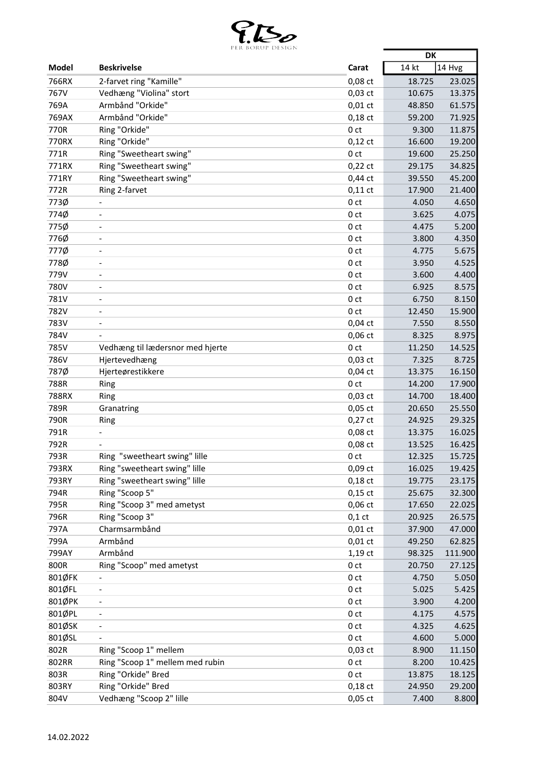

|              | PER BURUP DESIUN                 |                 | DK     |          |
|--------------|----------------------------------|-----------------|--------|----------|
| <b>Model</b> | <b>Beskrivelse</b>               | Carat           | 14 kt  | $14$ Hvg |
| 766RX        | 2-farvet ring "Kamille"          | 0,08 ct         | 18.725 | 23.025   |
| 767V         | Vedhæng "Violina" stort          | $0,03$ ct       | 10.675 | 13.375   |
| 769A         | Armbånd "Orkide"                 | $0,01$ ct       | 48.850 | 61.575   |
| 769AX        | Armbånd "Orkide"                 | $0,18$ ct       | 59.200 | 71.925   |
| 770R         | Ring "Orkide"                    | 0 <sub>ct</sub> | 9.300  | 11.875   |
| 770RX        | Ring "Orkide"                    | $0,12$ ct       | 16.600 | 19.200   |
| 771R         | Ring "Sweetheart swing"          | 0 <sub>ct</sub> | 19.600 | 25.250   |
| 771RX        | Ring "Sweetheart swing"          | $0,22$ ct       | 29.175 | 34.825   |
| 771RY        | Ring "Sweetheart swing"          | $0,44$ ct       | 39.550 | 45.200   |
| 772R         | Ring 2-farvet                    | $0,11$ ct       | 17.900 | 21.400   |
| 773Ø         | $\qquad \qquad \blacksquare$     | 0 <sub>ct</sub> | 4.050  | 4.650    |
| 774Ø         | $\overline{\phantom{a}}$         | 0 <sub>ct</sub> | 3.625  | 4.075    |
| 775Ø         | $\overline{a}$                   | 0 <sub>ct</sub> | 4.475  | 5.200    |
| 776Ø         | ٠                                | 0 ct            | 3.800  | 4.350    |
| 777Ø         | $\overline{\phantom{0}}$         | 0 <sub>ct</sub> | 4.775  | 5.675    |
| 778Ø         | $\overline{\phantom{a}}$         | 0 <sub>ct</sub> | 3.950  | 4.525    |
| 779V         | $\overline{\phantom{m}}$         | 0 <sub>ct</sub> | 3.600  | 4.400    |
| 780V         | $\overline{\phantom{a}}$         | 0 <sub>ct</sub> | 6.925  | 8.575    |
| 781V         | $\overline{a}$                   | 0 <sub>ct</sub> | 6.750  | 8.150    |
| 782V         | $\overline{\phantom{a}}$         | 0 <sub>ct</sub> | 12.450 | 15.900   |
| 783V         | $\overline{\phantom{a}}$         | $0,04$ ct       | 7.550  | 8.550    |
| 784V         |                                  | $0,06$ ct       | 8.325  | 8.975    |
| 785V         | Vedhæng til lædersnor med hjerte | 0 <sub>ct</sub> | 11.250 | 14.525   |
| 786V         | Hjertevedhæng                    | $0,03$ ct       | 7.325  | 8.725    |
| 787Ø         | Hjerteørestikkere                | $0,04$ ct       | 13.375 | 16.150   |
| 788R         | Ring                             | 0 <sub>ct</sub> | 14.200 | 17.900   |
| 788RX        | Ring                             | $0,03$ ct       | 14.700 | 18.400   |
| 789R         | Granatring                       | $0,05$ ct       | 20.650 | 25.550   |
| 790R         | Ring                             | $0,27$ ct       | 24.925 | 29.325   |
| 791R         |                                  | 0,08 ct         | 13.375 | 16.025   |
| 792R         |                                  | 0,08 ct         | 13.525 | 16.425   |
| 793R         | Ring "sweetheart swing" lille    | 0 <sub>ct</sub> | 12.325 | 15.725   |
| 793RX        | Ring "sweetheart swing" lille    | $0,09$ ct       | 16.025 | 19.425   |
| 793RY        | Ring "sweetheart swing" lille    | $0,18$ ct       | 19.775 | 23.175   |
| 794R         | Ring "Scoop 5"                   | $0,15$ ct       | 25.675 | 32.300   |
| 795R         | Ring "Scoop 3" med ametyst       | $0,06$ ct       | 17.650 | 22.025   |
| 796R         | Ring "Scoop 3"                   | $0,1$ ct        | 20.925 | 26.575   |
| 797A         | Charmsarmbånd                    | $0,01$ ct       | 37.900 | 47.000   |
| 799A         | Armbånd                          | $0,01$ ct       | 49.250 | 62.825   |
| 799AY        | Armbånd                          | $1,19$ ct       | 98.325 | 111.900  |
| 800R         | Ring "Scoop" med ametyst         | 0 <sub>ct</sub> | 20.750 | 27.125   |
| 801ØFK       | $\overline{\phantom{a}}$         | 0 <sub>ct</sub> | 4.750  | 5.050    |
| 801ØFL       | $\overline{\phantom{a}}$         | 0 <sub>ct</sub> | 5.025  | 5.425    |
| 801ØPK       | $\overline{\phantom{a}}$         | 0 <sub>ct</sub> | 3.900  | 4.200    |
| 801ØPL       | $\overline{\phantom{0}}$         | 0 <sub>ct</sub> | 4.175  | 4.575    |
| 801ØSK       | $\overline{\phantom{a}}$         | 0 ct            | 4.325  | 4.625    |
| 801ØSL       |                                  | 0 <sub>ct</sub> | 4.600  | 5.000    |
| 802R         | Ring "Scoop 1" mellem            | $0,03$ ct       | 8.900  | 11.150   |
| 802RR        | Ring "Scoop 1" mellem med rubin  | 0 <sub>ct</sub> | 8.200  | 10.425   |
| 803R         | Ring "Orkide" Bred               | 0 ct            | 13.875 | 18.125   |
| 803RY        | Ring "Orkide" Bred               | $0,18$ ct       | 24.950 | 29.200   |
| 804V         | Vedhæng "Scoop 2" lille          | $0,05$ ct       | 7.400  | 8.800    |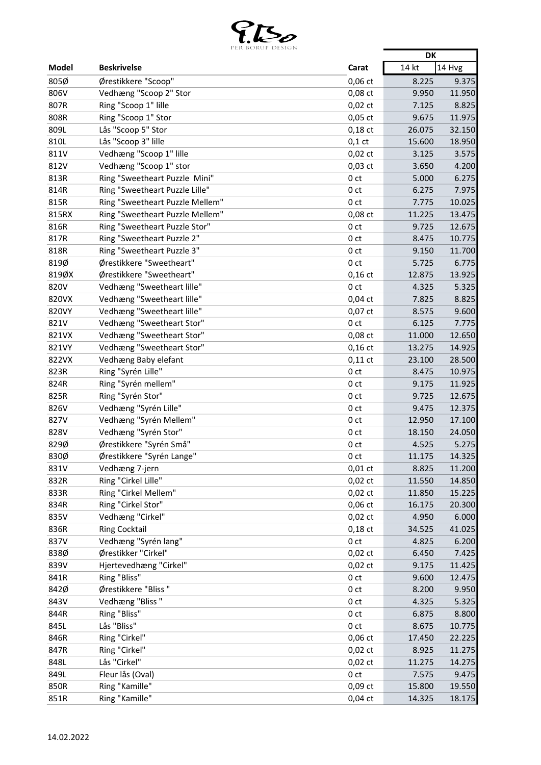

|               | LEN DUNUL DEJIUIN                          |                              | <b>DK</b> |                  |
|---------------|--------------------------------------------|------------------------------|-----------|------------------|
| Model         | <b>Beskrivelse</b>                         | Carat                        | 14 kt     | 14 Hvg           |
| 805Ø          | Ørestikkere "Scoop"                        | 0,06 ct                      | 8.225     | 9.375            |
| 806V          | Vedhæng "Scoop 2" Stor                     | 0,08 ct                      | 9.950     | 11.950           |
| 807R          | Ring "Scoop 1" lille                       | $0,02$ ct                    | 7.125     | 8.825            |
| 808R          | Ring "Scoop 1" Stor                        | $0,05$ ct                    | 9.675     | 11.975           |
| 809L          | Lås "Scoop 5" Stor                         | $0,18$ ct                    | 26.075    | 32.150           |
| 810L          | Lås "Scoop 3" lille                        | $0,1$ ct                     | 15.600    | 18.950           |
| 811V          | Vedhæng "Scoop 1" lille                    | $0,02$ ct                    | 3.125     | 3.575            |
| 812V          | Vedhæng "Scoop 1" stor                     | $0,03$ ct                    | 3.650     | 4.200            |
| 813R          | Ring "Sweetheart Puzzle Mini"              | 0 <sub>ct</sub>              | 5.000     | 6.275            |
| 814R          | Ring "Sweetheart Puzzle Lille"             | 0 <sub>ct</sub>              | 6.275     | 7.975            |
| 815R          | Ring "Sweetheart Puzzle Mellem"            | 0 <sub>ct</sub>              | 7.775     | 10.025           |
| 815RX         | Ring "Sweetheart Puzzle Mellem"            | 0,08 ct                      | 11.225    | 13.475           |
| 816R          | Ring "Sweetheart Puzzle Stor"              | 0 <sub>ct</sub>              | 9.725     | 12.675           |
| 817R          | Ring "Sweetheart Puzzle 2"                 | 0 <sub>ct</sub>              | 8.475     | 10.775           |
| 818R          | Ring "Sweetheart Puzzle 3"                 | 0 <sub>ct</sub>              | 9.150     | 11.700           |
| 819Ø          | Ørestikkere "Sweetheart"                   | 0 <sub>ct</sub>              | 5.725     | 6.775            |
| 819ØX         | Ørestikkere "Sweetheart"                   | $0,16$ ct                    | 12.875    | 13.925           |
| 820V          | Vedhæng "Sweetheart lille"                 | 0 <sub>ct</sub>              | 4.325     | 5.325            |
| 820VX         | Vedhæng "Sweetheart lille"                 | $0,04$ ct                    | 7.825     | 8.825            |
| 820VY         | Vedhæng "Sweetheart lille"                 | 0,07 ct                      | 8.575     | 9.600            |
| 821V          | Vedhæng "Sweetheart Stor"                  | 0 <sub>ct</sub>              | 6.125     | 7.775            |
| 821VX         | Vedhæng "Sweetheart Stor"                  | 0,08 ct                      | 11.000    | 12.650           |
| 821VY         |                                            | $0,16$ ct                    | 13.275    | 14.925           |
|               | Vedhæng "Sweetheart Stor"                  |                              |           |                  |
| 822VX<br>823R | Vedhæng Baby elefant<br>Ring "Syrén Lille" | $0,11$ ct<br>0 <sub>ct</sub> | 23.100    | 28.500<br>10.975 |
|               |                                            |                              | 8.475     |                  |
| 824R          | Ring "Syrén mellem"                        | 0 <sub>ct</sub>              | 9.175     | 11.925           |
| 825R          | Ring "Syrén Stor"                          | 0 <sub>ct</sub>              | 9.725     | 12.675           |
| 826V          | Vedhæng "Syrén Lille"                      | 0 ct                         | 9.475     | 12.375           |
| 827V          | Vedhæng "Syrén Mellem"                     | 0 <sub>ct</sub>              | 12.950    | 17.100           |
| 828V          | Vedhæng "Syrén Stor"                       | 0 <sub>ct</sub>              | 18.150    | 24.050           |
| 829Ø          | Ørestikkere "Syrén Små"                    | 0 ct                         | 4.525     | 5.275            |
| 830Ø          | Ørestikkere "Syrén Lange"                  | 0 <sub>ct</sub>              | 11.175    | 14.325           |
| 831V          | Vedhæng 7-jern                             | $0,01$ ct                    | 8.825     | 11.200           |
| 832R          | Ring "Cirkel Lille"                        | $0,02$ ct                    | 11.550    | 14.850           |
| 833R          | Ring "Cirkel Mellem"                       | $0,02$ ct                    | 11.850    | 15.225           |
| 834R          | Ring "Cirkel Stor"                         | 0,06 ct                      | 16.175    | 20.300           |
| 835V          | Vedhæng "Cirkel"                           | $0,02$ ct                    | 4.950     | 6.000            |
| 836R          | <b>Ring Cocktail</b>                       | $0,18$ ct                    | 34.525    | 41.025           |
| 837V          | Vedhæng "Syrén lang"                       | 0 <sub>ct</sub>              | 4.825     | 6.200            |
| 838Ø          | Ørestikker "Cirkel"                        | $0,02$ ct                    | 6.450     | 7.425            |
| 839V          | Hjertevedhæng "Cirkel"                     | $0,02$ ct                    | 9.175     | 11.425           |
| 841R          | Ring "Bliss"                               | 0 <sub>ct</sub>              | 9.600     | 12.475           |
| 842Ø          | Ørestikkere "Bliss "                       | 0 <sub>ct</sub>              | 8.200     | 9.950            |
| 843V          | Vedhæng "Bliss"                            | 0 <sub>ct</sub>              | 4.325     | 5.325            |
| 844R          | Ring "Bliss"                               | 0 <sub>ct</sub>              | 6.875     | 8.800            |
| 845L          | Lås "Bliss"                                | 0 <sub>ct</sub>              | 8.675     | 10.775           |
| 846R          | Ring "Cirkel"                              | 0,06 ct                      | 17.450    | 22.225           |
| 847R          | Ring "Cirkel"                              | $0,02$ ct                    | 8.925     | 11.275           |
| 848L          | Lås "Cirkel"                               | $0,02$ ct                    | 11.275    | 14.275           |
| 849L          | Fleur lås (Oval)                           | 0 ct                         | 7.575     | 9.475            |
| 850R          | Ring "Kamille"                             | 0,09 ct                      | 15.800    | 19.550           |
| 851R          | Ring "Kamille"                             | $0,04$ ct                    | 14.325    | 18.175           |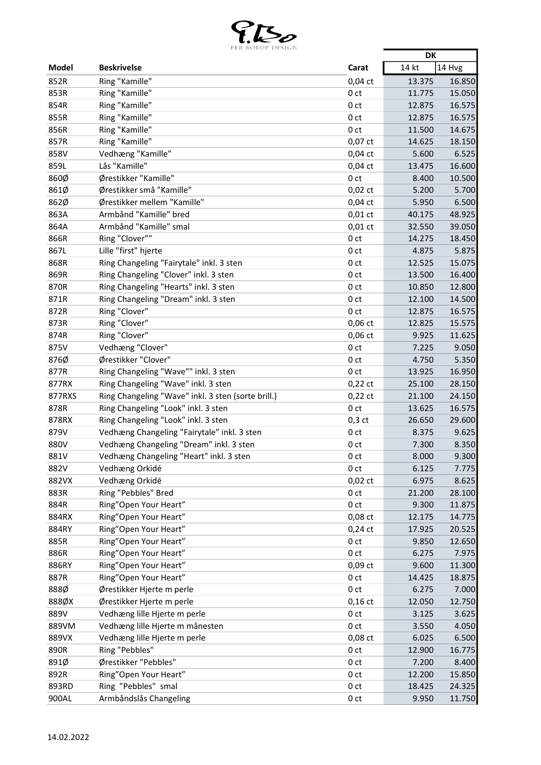

|              | PER BURUP DESIGN                                   |                 | <b>DK</b> |                 |
|--------------|----------------------------------------------------|-----------------|-----------|-----------------|
| Model        | <b>Beskrivelse</b>                                 | Carat           | 14 kt     | 14 Hvg          |
| 852R         | Ring "Kamille"                                     | $0,04$ ct       | 13.375    | 16.850          |
| 853R         | Ring "Kamille"                                     | 0 <sub>ct</sub> | 11.775    | 15.050          |
| 854R         | Ring "Kamille"                                     | 0 <sub>ct</sub> | 12.875    | 16.575          |
| 855R         | Ring "Kamille"                                     | 0 <sub>ct</sub> | 12.875    | 16.575          |
| 856R         | Ring "Kamille"                                     | 0 <sub>ct</sub> | 11.500    | 14.675          |
| 857R         | Ring "Kamille"                                     | 0,07 ct         | 14.625    | 18.150          |
| 858V         | Vedhæng "Kamille"                                  | $0,04$ ct       | 5.600     | 6.525           |
| 859L         | Lås "Kamille"                                      | $0,04$ ct       | 13.475    | 16.600          |
| 860Ø         | Ørestikker "Kamille"                               | 0 <sub>ct</sub> | 8.400     | 10.500          |
| 861Ø         | Ørestikker små "Kamille"                           | $0,02$ ct       | 5.200     | 5.700           |
| 862Ø         | Ørestikker mellem "Kamille"                        | $0,04$ ct       | 5.950     | 6.500           |
| 863A         | Armbånd "Kamille" bred                             | $0,01$ ct       | 40.175    | 48.925          |
| 864A         | Armbånd "Kamille" smal                             | $0,01$ ct       | 32.550    | 39.050          |
| 866R         | Ring "Clover""                                     | 0 <sub>ct</sub> | 14.275    | 18.450          |
| 867L         | Lille "first" hjerte                               | 0 <sub>ct</sub> | 4.875     | 5.875           |
| 868R         | Ring Changeling "Fairytale" inkl. 3 sten           | 0 ct            | 12.525    | 15.075          |
| 869R         | Ring Changeling "Clover" inkl. 3 sten              | 0 <sub>ct</sub> | 13.500    | 16.400          |
| 870R         | Ring Changeling "Hearts" inkl. 3 sten              | 0 <sub>ct</sub> | 10.850    | 12.800          |
| 871R         | Ring Changeling "Dream" inkl. 3 sten               | 0 <sub>ct</sub> | 12.100    | 14.500          |
| 872R         | Ring "Clover"                                      | 0 <sub>ct</sub> | 12.875    | 16.575          |
| 873R         | Ring "Clover"                                      | 0,06 ct         | 12.825    | 15.575          |
| 874R         | Ring "Clover"                                      | 0,06 ct         | 9.925     |                 |
| 875V         | Vedhæng "Clover"                                   | 0 <sub>ct</sub> | 7.225     | 11.625<br>9.050 |
|              |                                                    |                 |           |                 |
| 876Ø<br>877R | Ørestikker "Clover"                                | 0 <sub>ct</sub> | 4.750     | 5.350           |
|              | Ring Changeling "Wave"" inkl. 3 sten               | 0 <sub>ct</sub> | 13.925    | 16.950          |
| 877RX        | Ring Changeling "Wave" inkl. 3 sten                | $0,22$ ct       | 25.100    | 28.150          |
| 877RXS       | Ring Changeling "Wave" inkl. 3 sten (sorte brill.) | $0,22$ ct       | 21.100    | 24.150          |
| 878R         | Ring Changeling "Look" inkl. 3 sten                | 0 <sub>ct</sub> | 13.625    | 16.575          |
| 878RX        | Ring Changeling "Look" inkl. 3 sten                | $0,3$ ct        | 26.650    | 29.600          |
| 879V         | Vedhæng Changeling "Fairytale" inkl. 3 sten        | 0 <sub>ct</sub> | 8.375     | 9.625           |
| 880V         | Vedhæng Changeling "Dream" inkl. 3 sten            | 0 ct            | 7.300     | 8.350           |
| 881V         | Vedhæng Changeling "Heart" inkl. 3 sten            | 0 <sub>ct</sub> | 8.000     | 9.300           |
| 882V         | Vedhæng Orkidé                                     | 0 ct            | 6.125     | 7.775           |
| 882VX        | Vedhæng Orkidé                                     | $0,02$ ct       | 6.975     | 8.625           |
| 883R         | Ring "Pebbles" Bred                                | 0 <sub>ct</sub> | 21.200    | 28.100          |
| 884R         | Ring"Open Your Heart"                              | 0 <sub>ct</sub> | 9.300     | 11.875          |
| 884RX        | Ring"Open Your Heart"                              | 0,08 ct         | 12.175    | 14.775          |
| 884RY        | Ring"Open Your Heart"                              | $0,24$ ct       | 17.925    | 20.525          |
| 885R         | Ring"Open Your Heart"                              | 0 <sub>ct</sub> | 9.850     | 12.650          |
| 886R         | Ring"Open Your Heart"                              | 0 <sub>ct</sub> | 6.275     | 7.975           |
| 886RY        | Ring"Open Your Heart"                              | 0,09 ct         | 9.600     | 11.300          |
| 887R         | Ring"Open Your Heart"                              | 0 <sub>ct</sub> | 14.425    | 18.875          |
| 888Ø         | Ørestikker Hjerte m perle                          | 0 <sub>ct</sub> | 6.275     | 7.000           |
| 888ØX        | Ørestikker Hjerte m perle                          | $0,16$ ct       | 12.050    | 12.750          |
| 889V         | Vedhæng lille Hjerte m perle                       | 0 <sub>ct</sub> | 3.125     | 3.625           |
| 889VM        | Vedhæng lille Hjerte m månesten                    | 0 ct            | 3.550     | 4.050           |
| 889VX        | Vedhæng lille Hjerte m perle                       | 0,08 ct         | 6.025     | 6.500           |
| 890R         | Ring "Pebbles"                                     | 0 <sub>ct</sub> | 12.900    | 16.775          |
| 891Ø         | Ørestikker "Pebbles"                               | 0 <sub>ct</sub> | 7.200     | 8.400           |
| 892R         | Ring"Open Your Heart"                              | 0 <sub>ct</sub> | 12.200    | 15.850          |
| 893RD        | Ring "Pebbles" smal                                | 0 <sub>ct</sub> | 18.425    | 24.325          |
| 900AL        | Armbåndslås Changeling                             | 0 <sub>ct</sub> | 9.950     | 11.750          |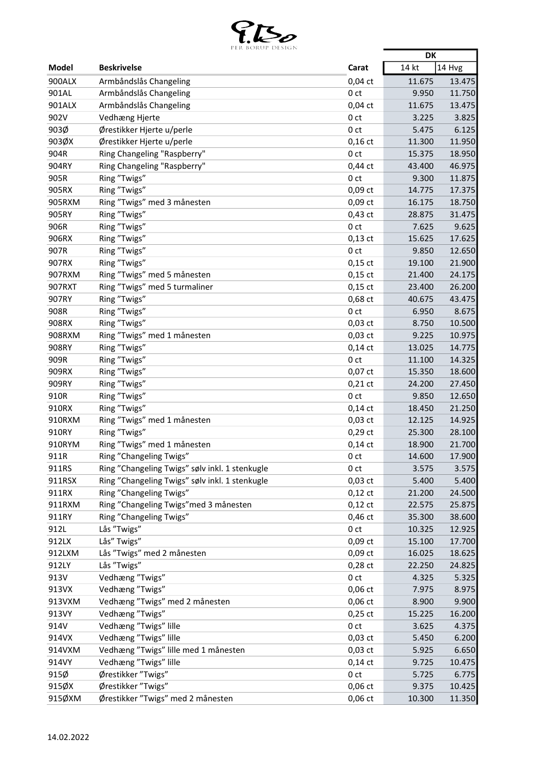

|        | PER BURUP DESIGN                               |                 | <b>DK</b> |        |
|--------|------------------------------------------------|-----------------|-----------|--------|
| Model  | <b>Beskrivelse</b>                             | Carat           | 14 kt     | 14 Hvg |
| 900ALX | Armbåndslås Changeling                         | $0,04$ ct       | 11.675    | 13.475 |
| 901AL  | Armbåndslås Changeling                         | 0 <sub>ct</sub> | 9.950     | 11.750 |
| 901ALX | Armbåndslås Changeling                         | $0,04$ ct       | 11.675    | 13.475 |
| 902V   | Vedhæng Hjerte                                 | 0 <sub>ct</sub> | 3.225     | 3.825  |
| 903Ø   | Ørestikker Hjerte u/perle                      | 0 <sub>ct</sub> | 5.475     | 6.125  |
| 903ØX  | Ørestikker Hjerte u/perle                      | $0,16$ ct       | 11.300    | 11.950 |
| 904R   | Ring Changeling "Raspberry"                    | 0 <sub>ct</sub> | 15.375    | 18.950 |
| 904RY  | Ring Changeling "Raspberry"                    | $0,44$ ct       | 43.400    | 46.975 |
| 905R   | Ring "Twigs"                                   | 0 <sub>ct</sub> | 9.300     | 11.875 |
| 905RX  | Ring "Twigs"                                   | 0,09 ct         | 14.775    | 17.375 |
| 905RXM | Ring "Twigs" med 3 månesten                    | 0,09 ct         | 16.175    | 18.750 |
| 905RY  | Ring "Twigs"                                   | $0,43$ ct       | 28.875    | 31.475 |
| 906R   | Ring "Twigs"                                   | 0 <sub>ct</sub> | 7.625     | 9.625  |
| 906RX  | Ring "Twigs"                                   | $0,13$ ct       | 15.625    | 17.625 |
| 907R   | Ring "Twigs"                                   | 0 <sub>ct</sub> | 9.850     | 12.650 |
| 907RX  | Ring "Twigs"                                   | $0,15$ ct       | 19.100    | 21.900 |
|        |                                                |                 |           |        |
| 907RXM | Ring "Twigs" med 5 månesten                    | $0,15$ ct       | 21.400    | 24.175 |
| 907RXT | Ring "Twigs" med 5 turmaliner                  | $0,15$ ct       | 23.400    | 26.200 |
| 907RY  | Ring "Twigs"                                   | 0,68 ct         | 40.675    | 43.475 |
| 908R   | Ring "Twigs"                                   | 0 <sub>ct</sub> | 6.950     | 8.675  |
| 908RX  | Ring "Twigs"                                   | 0,03 ct         | 8.750     | 10.500 |
| 908RXM | Ring "Twigs" med 1 månesten                    | $0,03$ ct       | 9.225     | 10.975 |
| 908RY  | Ring "Twigs"                                   | $0,14$ ct       | 13.025    | 14.775 |
| 909R   | Ring "Twigs"                                   | 0 <sub>ct</sub> | 11.100    | 14.325 |
| 909RX  | Ring "Twigs"                                   | 0,07 ct         | 15.350    | 18.600 |
| 909RY  | Ring "Twigs"                                   | $0,21$ ct       | 24.200    | 27.450 |
| 910R   | Ring "Twigs"                                   | 0 <sub>ct</sub> | 9.850     | 12.650 |
| 910RX  | Ring "Twigs"                                   | $0,14$ ct       | 18.450    | 21.250 |
| 910RXM | Ring "Twigs" med 1 månesten                    | $0,03$ ct       | 12.125    | 14.925 |
| 910RY  | Ring "Twigs"                                   | $0,29$ ct       | 25.300    | 28.100 |
| 910RYM | Ring "Twigs" med 1 månesten                    | $0,14$ ct       | 18.900    | 21.700 |
| 911R   | Ring "Changeling Twigs"                        | 0 <sub>ct</sub> | 14.600    | 17.900 |
| 911RS  | Ring "Changeling Twigs" sølv inkl. 1 stenkugle | 0 ct            | 3.575     | 3.575  |
| 911RSX | Ring "Changeling Twigs" sølv inkl. 1 stenkugle | 0,03 ct         | 5.400     | 5.400  |
| 911RX  | Ring "Changeling Twigs"                        | $0,12$ ct       | 21.200    | 24.500 |
| 911RXM | Ring "Changeling Twigs" med 3 månesten         | $0,12$ ct       | 22.575    | 25.875 |
| 911RY  | Ring "Changeling Twigs"                        | 0,46 ct         | 35.300    | 38.600 |
| 912L   | Lås "Twigs"                                    | 0 <sub>ct</sub> | 10.325    | 12.925 |
| 912LX  | Lås" Twigs"                                    | 0,09 ct         | 15.100    | 17.700 |
| 912LXM | Lås "Twigs" med 2 månesten                     | 0,09 ct         | 16.025    | 18.625 |
| 912LY  | Lås "Twigs"                                    | $0,28$ ct       | 22.250    | 24.825 |
| 913V   | Vedhæng "Twigs"                                | 0 <sub>ct</sub> | 4.325     | 5.325  |
| 913VX  | Vedhæng "Twigs"                                | 0,06 ct         | 7.975     | 8.975  |
| 913VXM | Vedhæng "Twigs" med 2 månesten                 | 0,06 ct         | 8.900     | 9.900  |
| 913VY  | Vedhæng "Twigs"                                | $0,25$ ct       | 15.225    | 16.200 |
| 914V   | Vedhæng "Twigs" lille                          | 0 <sub>ct</sub> | 3.625     | 4.375  |
| 914VX  | Vedhæng "Twigs" lille                          | $0,03$ ct       | 5.450     | 6.200  |
| 914VXM | Vedhæng "Twigs" lille med 1 månesten           | $0,03$ ct       | 5.925     | 6.650  |
| 914VY  | Vedhæng "Twigs" lille                          | $0,14$ ct       | 9.725     | 10.475 |
| 915Ø   | Ørestikker "Twigs"                             | 0 <sub>ct</sub> | 5.725     | 6.775  |
| 915ØX  | Ørestikker "Twigs"                             | $0,06$ ct       | 9.375     | 10.425 |
| 915ØXM | Ørestikker "Twigs" med 2 månesten              | 0,06 ct         | 10.300    | 11.350 |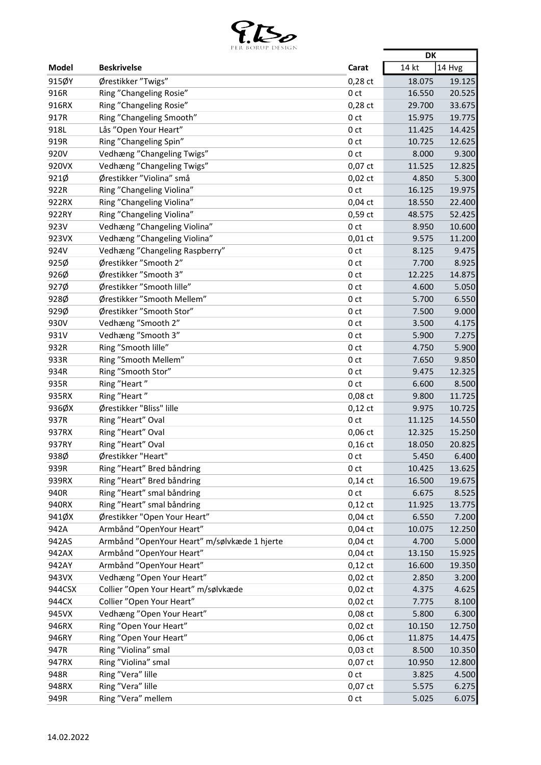

|              | LEN PUNUL DESIGIN                            |                 | <b>DK</b> |        |
|--------------|----------------------------------------------|-----------------|-----------|--------|
| <b>Model</b> | <b>Beskrivelse</b>                           | Carat           | 14 kt     | 14 Hvg |
| 915ØY        | Ørestikker "Twigs"                           | $0,28$ ct       | 18.075    | 19.125 |
| 916R         | Ring "Changeling Rosie"                      | 0 <sub>ct</sub> | 16.550    | 20.525 |
| 916RX        | Ring "Changeling Rosie"                      | $0,28$ ct       | 29.700    | 33.675 |
| 917R         | Ring "Changeling Smooth"                     | 0 <sub>ct</sub> | 15.975    | 19.775 |
| 918L         | Lås "Open Your Heart"                        | 0 <sub>ct</sub> | 11.425    | 14.425 |
| 919R         | Ring "Changeling Spin"                       | 0 <sub>ct</sub> | 10.725    | 12.625 |
| 920V         | Vedhæng "Changeling Twigs"                   | 0 <sub>ct</sub> | 8.000     | 9.300  |
| 920VX        | Vedhæng "Changeling Twigs"                   | 0,07 ct         | 11.525    | 12.825 |
| 921Ø         | Ørestikker "Violina" små                     | $0,02$ ct       | 4.850     | 5.300  |
| 922R         | Ring "Changeling Violina"                    | 0 <sub>ct</sub> | 16.125    | 19.975 |
| 922RX        | Ring "Changeling Violina"                    | $0,04$ ct       | 18.550    | 22.400 |
| 922RY        | Ring "Changeling Violina"                    | 0,59 ct         | 48.575    | 52.425 |
| 923V         | Vedhæng "Changeling Violina"                 | 0 <sub>ct</sub> | 8.950     | 10.600 |
| 923VX        | Vedhæng "Changeling Violina"                 | $0,01$ ct       | 9.575     | 11.200 |
| 924V         | Vedhæng "Changeling Raspberry"               | 0 <sub>ct</sub> | 8.125     | 9.475  |
| 925Ø         | Ørestikker "Smooth 2"                        | 0 <sub>ct</sub> | 7.700     | 8.925  |
| 926Ø         | Ørestikker "Smooth 3"                        | 0 <sub>ct</sub> | 12.225    | 14.875 |
| 927Ø         | Ørestikker "Smooth lille"                    | 0 <sub>ct</sub> | 4.600     | 5.050  |
| 928Ø         | Ørestikker "Smooth Mellem"                   | 0 <sub>ct</sub> | 5.700     | 6.550  |
| 929Ø         | Ørestikker "Smooth Stor"                     | 0 <sub>ct</sub> | 7.500     | 9.000  |
| 930V         | Vedhæng "Smooth 2"                           | 0 <sub>ct</sub> | 3.500     | 4.175  |
| 931V         | Vedhæng "Smooth 3"                           | 0 <sub>ct</sub> | 5.900     | 7.275  |
| 932R         | Ring "Smooth lille"                          | 0 <sub>ct</sub> | 4.750     | 5.900  |
| 933R         | Ring "Smooth Mellem"                         | 0 <sub>ct</sub> | 7.650     | 9.850  |
| 934R         | Ring "Smooth Stor"                           | 0 <sub>ct</sub> | 9.475     | 12.325 |
| 935R         | Ring "Heart"                                 | 0 <sub>ct</sub> | 6.600     | 8.500  |
| 935RX        | Ring "Heart"                                 | 0,08 ct         | 9.800     | 11.725 |
| 936ØX        | Ørestikker "Bliss" lille                     | $0,12$ ct       | 9.975     | 10.725 |
| 937R         | Ring "Heart" Oval                            | 0 <sub>ct</sub> | 11.125    | 14.550 |
| 937RX        | Ring "Heart" Oval                            | 0,06 ct         | 12.325    | 15.250 |
| 937RY        | Ring "Heart" Oval                            | $0,16$ ct       | 18.050    | 20.825 |
| 938Ø         | Ørestikker "Heart"                           | 0 <sub>ct</sub> | 5.450     | 6.400  |
| 939R         | Ring "Heart" Bred båndring                   | 0 ct            | 10.425    | 13.625 |
| 939RX        | Ring "Heart" Bred båndring                   | $0,14$ ct       | 16.500    | 19.675 |
| 940R         | Ring "Heart" smal båndring                   | 0 <sub>ct</sub> | 6.675     | 8.525  |
| 940RX        | Ring "Heart" smal båndring                   | $0,12$ ct       | 11.925    | 13.775 |
| 941ØX        | Ørestikker "Open Your Heart"                 | $0,04$ ct       | 6.550     | 7.200  |
| 942A         | Armbånd "OpenYour Heart"                     | $0,04$ ct       | 10.075    | 12.250 |
| 942AS        | Armbånd "OpenYour Heart" m/sølvkæde 1 hjerte | $0,04$ ct       | 4.700     | 5.000  |
| 942AX        | Armbånd "OpenYour Heart"                     | $0,04$ ct       | 13.150    | 15.925 |
| 942AY        | Armbånd "OpenYour Heart"                     | $0,12$ ct       | 16.600    | 19.350 |
| 943VX        | Vedhæng "Open Your Heart"                    | $0,02$ ct       | 2.850     | 3.200  |
| 944CSX       | Collier "Open Your Heart" m/sølvkæde         | $0,02$ ct       | 4.375     | 4.625  |
| 944CX        | Collier "Open Your Heart"                    | $0,02$ ct       | 7.775     | 8.100  |
| 945VX        | Vedhæng "Open Your Heart"                    | 0,08 ct         | 5.800     | 6.300  |
| 946RX        | Ring "Open Your Heart"                       | $0,02$ ct       | 10.150    | 12.750 |
| 946RY        | Ring "Open Your Heart"                       | $0,06$ ct       | 11.875    | 14.475 |
| 947R         | Ring "Violina" smal                          | $0,03$ ct       | 8.500     | 10.350 |
| 947RX        | Ring "Violina" smal                          | 0,07 ct         | 10.950    | 12.800 |
| 948R         | Ring "Vera" lille                            | 0 <sub>ct</sub> | 3.825     | 4.500  |
| 948RX        | Ring "Vera" lille                            | $0,07$ ct       | 5.575     | 6.275  |
| 949R         | Ring "Vera" mellem                           | 0 ct            | 5.025     | 6.075  |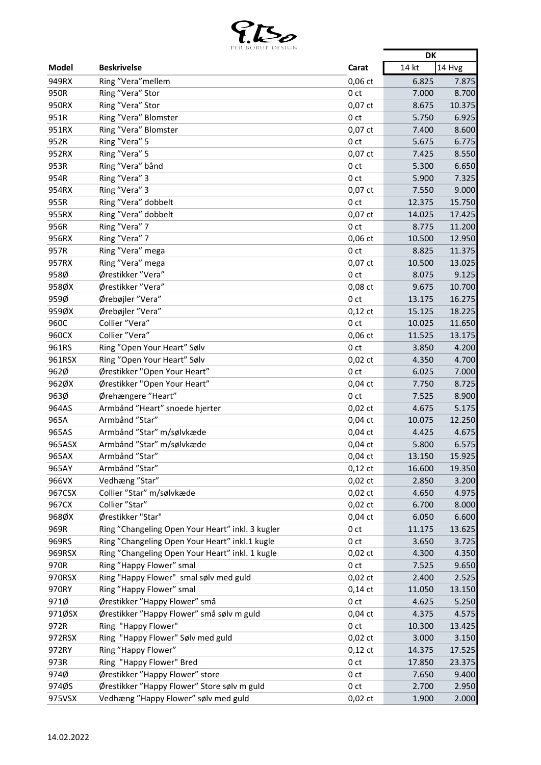

|               | <b><i>FER BORUP DESIGN</i></b>                                                                     |                        | <b>DK</b>      |        |
|---------------|----------------------------------------------------------------------------------------------------|------------------------|----------------|--------|
| Model         | <b>Beskrivelse</b>                                                                                 | Carat                  | 14 kt          | 14 Hvg |
| 949RX         | Ring "Vera" mellem                                                                                 | $0,06$ ct              | 6.825          | 7.875  |
| 950R          | Ring "Vera" Stor                                                                                   | 0 <sub>ct</sub>        | 7.000          | 8.700  |
| 950RX         | Ring "Vera" Stor                                                                                   | $0,07$ ct              | 8.675          | 10.375 |
| 951R          | Ring "Vera" Blomster                                                                               | 0 <sub>ct</sub>        | 5.750          | 6.925  |
| 951RX         | Ring "Vera" Blomster                                                                               | 0,07 ct                | 7.400          | 8.600  |
| 952R          | Ring "Vera" 5                                                                                      | 0 <sub>ct</sub>        | 5.675          | 6.775  |
| 952RX         | Ring "Vera" 5                                                                                      | 0,07 ct                | 7.425          | 8.550  |
| 953R          | Ring "Vera" bånd                                                                                   | 0 <sub>ct</sub>        | 5.300          | 6.650  |
| 954R          | Ring "Vera" 3                                                                                      | 0 <sub>ct</sub>        | 5.900          | 7.325  |
| 954RX         | Ring "Vera" 3                                                                                      | 0,07 ct                | 7.550          | 9.000  |
| 955R          | Ring "Vera" dobbelt                                                                                | 0 <sub>ct</sub>        | 12.375         | 15.750 |
| 955RX         | Ring "Vera" dobbelt                                                                                | $0,07$ ct              | 14.025         | 17.425 |
| 956R          | Ring "Vera" 7                                                                                      | 0 <sub>ct</sub>        | 8.775          | 11.200 |
| 956RX         | Ring "Vera" 7                                                                                      | 0,06 ct                | 10.500         | 12.950 |
| 957R          | Ring "Vera" mega                                                                                   | 0 <sub>ct</sub>        | 8.825          | 11.375 |
| 957RX         | Ring "Vera" mega                                                                                   | 0,07 ct                | 10.500         | 13.025 |
| 958Ø          | Ørestikker "Vera"                                                                                  | 0 <sub>ct</sub>        | 8.075          | 9.125  |
| 958ØX         | Ørestikker "Vera"                                                                                  | 0,08 ct                | 9.675          | 10.700 |
| 959Ø          | Ørebøjler "Vera"                                                                                   | 0 <sub>ct</sub>        | 13.175         | 16.275 |
| 959ØX         | Ørebøjler "Vera"                                                                                   | $0,12$ ct              | 15.125         | 18.225 |
| 960C          | Collier "Vera"                                                                                     | 0 <sub>ct</sub>        | 10.025         | 11.650 |
| 960CX         | Collier "Vera"                                                                                     | $0,06$ ct              | 11.525         | 13.175 |
| 961RS         | Ring "Open Your Heart" Sølv                                                                        | 0 <sub>ct</sub>        | 3.850          | 4.200  |
| 961RSX        | Ring "Open Your Heart" Sølv                                                                        | $0,02$ ct              | 4.350          | 4.700  |
| 962Ø          | Ørestikker "Open Your Heart"                                                                       | 0 <sub>ct</sub>        | 6.025          | 7.000  |
| 962ØX         | Ørestikker "Open Your Heart"                                                                       | $0,04$ ct              | 7.750          | 8.725  |
| 963Ø          | Ørehængere "Heart"                                                                                 | 0 <sub>ct</sub>        | 7.525          | 8.900  |
| 964AS         | Armbånd "Heart" snoede hjerter                                                                     | $0,02$ ct              | 4.675          | 5.175  |
| 965A          | Armbånd "Star"                                                                                     | $0,04$ ct              | 10.075         | 12.250 |
| 965AS         | Armbånd "Star" m/sølvkæde                                                                          | $0,04$ ct              | 4.425          | 4.675  |
| 965ASX        | Armbånd "Star" m/sølvkæde                                                                          | $0,04$ ct              | 5.800          | 6.575  |
| 965AX         | Armbånd "Star"                                                                                     | $0,04$ ct              | 13.150         | 15.925 |
|               | Armbånd "Star"                                                                                     |                        |                |        |
| 965AY         |                                                                                                    | $0,12$ ct<br>$0,02$ ct | 16.600         | 19.350 |
| 966VX         | Vedhæng "Star"                                                                                     |                        | 2.850          | 3.200  |
| 967CSX        | Collier "Star" m/sølvkæde                                                                          | $0,02$ ct              | 4.650<br>6.700 | 4.975  |
| 967CX         | Collier "Star"                                                                                     | $0,02$ ct              |                | 8.000  |
| 968ØX         | Ørestikker "Star"                                                                                  | $0,04$ ct              | 6.050          | 6.600  |
| 969R          | Ring "Changeling Open Your Heart" inkl. 3 kugler<br>Ring "Changeling Open Your Heart" inkl.1 kugle | 0 ct                   | 11.175         | 13.625 |
| 969RS         |                                                                                                    | 0 <sub>ct</sub>        | 3.650          | 3.725  |
| 969RSX        | Ring "Changeling Open Your Heart" inkl. 1 kugle                                                    | $0,02$ ct              | 4.300          | 4.350  |
| 970R          | Ring "Happy Flower" smal                                                                           | 0 <sub>ct</sub>        | 7.525          | 9.650  |
| 970RSX        | Ring "Happy Flower" smal sølv med guld                                                             | $0,02$ ct              | 2.400          | 2.525  |
| 970RY<br>971Ø | Ring "Happy Flower" smal                                                                           | $0,14$ ct              | 11.050         | 13.150 |
|               | Ørestikker "Happy Flower" små                                                                      | 0 <sub>ct</sub>        | 4.625          | 5.250  |
| 971ØSX        | Ørestikker "Happy Flower" små sølv m guld                                                          | $0,04$ ct              | 4.375          | 4.575  |
| 972R          | Ring "Happy Flower"                                                                                | 0 ct                   | 10.300         | 13.425 |
| 972RSX        | Ring "Happy Flower" Sølv med guld                                                                  | $0,02$ ct              | 3.000          | 3.150  |
| 972RY         | Ring "Happy Flower"                                                                                | $0,12$ ct              | 14.375         | 17.525 |
| 973R          | Ring "Happy Flower" Bred                                                                           | 0 <sub>ct</sub>        | 17.850         | 23.375 |
| 974Ø          | Ørestikker "Happy Flower" store                                                                    | 0 ct                   | 7.650          | 9.400  |
| 974ØS         | Ørestikker "Happy Flower" Store sølv m guld                                                        | 0 <sub>ct</sub>        | 2.700          | 2.950  |
| 975VSX        | Vedhæng "Happy Flower" sølv med guld                                                               | $0,02$ ct              | 1.900          | 2.000  |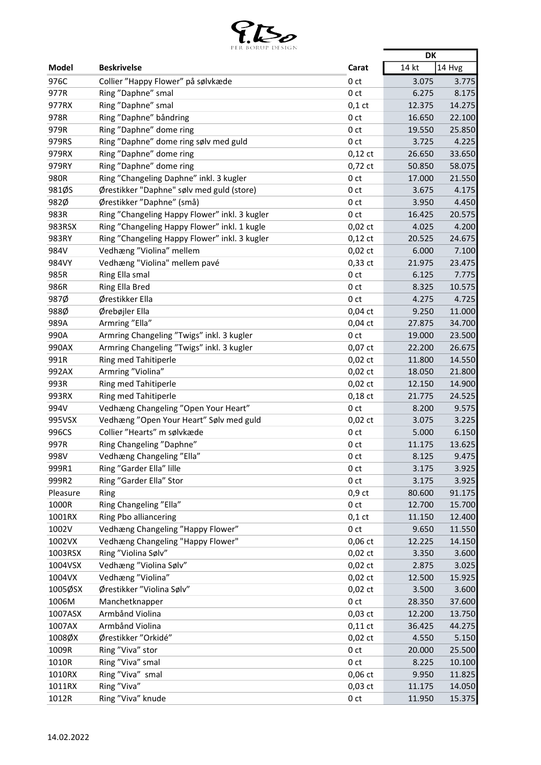

|          | PER BORUP DESIGN                              |                 | <b>DK</b> |        |
|----------|-----------------------------------------------|-----------------|-----------|--------|
| Model    | <b>Beskrivelse</b>                            | Carat           | 14 kt     | 14 Hvg |
| 976C     | Collier "Happy Flower" på sølvkæde            | 0 <sub>ct</sub> | 3.075     | 3.775  |
| 977R     | Ring "Daphne" smal                            | 0 <sub>ct</sub> | 6.275     | 8.175  |
| 977RX    | Ring "Daphne" smal                            | $0,1$ ct        | 12.375    | 14.275 |
| 978R     | Ring "Daphne" båndring                        | 0 <sub>ct</sub> | 16.650    | 22.100 |
| 979R     | Ring "Daphne" dome ring                       | 0 <sub>ct</sub> | 19.550    | 25.850 |
| 979RS    | Ring "Daphne" dome ring sølv med guld         | 0 <sub>ct</sub> | 3.725     | 4.225  |
| 979RX    | Ring "Daphne" dome ring                       | $0,12$ ct       | 26.650    | 33.650 |
| 979RY    | Ring "Daphne" dome ring                       | 0,72 ct         | 50.850    | 58.075 |
| 980R     | Ring "Changeling Daphne" inkl. 3 kugler       | 0 <sub>ct</sub> | 17.000    | 21.550 |
| 981ØS    | Ørestikker "Daphne" sølv med guld (store)     | 0 <sub>ct</sub> | 3.675     | 4.175  |
| 982Ø     | Ørestikker "Daphne" (små)                     | 0 <sub>ct</sub> | 3.950     | 4.450  |
| 983R     | Ring "Changeling Happy Flower" inkl. 3 kugler | 0 <sub>ct</sub> | 16.425    | 20.575 |
| 983RSX   | Ring "Changeling Happy Flower" inkl. 1 kugle  | $0,02$ ct       | 4.025     | 4.200  |
| 983RY    | Ring "Changeling Happy Flower" inkl. 3 kugler | $0,12$ ct       | 20.525    | 24.675 |
| 984V     | Vedhæng "Violina" mellem                      | $0,02$ ct       | 6.000     | 7.100  |
| 984VY    | Vedhæng "Violina" mellem pavé                 | 0,33 ct         | 21.975    | 23.475 |
| 985R     | Ring Ella smal                                | 0 <sub>ct</sub> | 6.125     | 7.775  |
| 986R     | Ring Ella Bred                                | 0 <sub>ct</sub> | 8.325     | 10.575 |
| 987Ø     | Ørestikker Ella                               | 0 <sub>ct</sub> | 4.275     | 4.725  |
| 988Ø     | Ørebøjler Ella                                | $0,04$ ct       | 9.250     | 11.000 |
| 989A     | Armring "Ella"                                | $0,04$ ct       | 27.875    | 34.700 |
| 990A     | Armring Changeling "Twigs" inkl. 3 kugler     | 0 <sub>ct</sub> | 19.000    | 23.500 |
| 990AX    | Armring Changeling "Twigs" inkl. 3 kugler     | 0,07 ct         | 22.200    | 26.675 |
| 991R     | Ring med Tahitiperle                          | $0,02$ ct       | 11.800    | 14.550 |
| 992AX    | Armring "Violina"                             | $0,02$ ct       | 18.050    | 21.800 |
| 993R     | Ring med Tahitiperle                          | $0,02$ ct       | 12.150    | 14.900 |
| 993RX    | Ring med Tahitiperle                          | $0,18$ ct       | 21.775    | 24.525 |
| 994V     | Vedhæng Changeling "Open Your Heart"          | 0 <sub>ct</sub> | 8.200     | 9.575  |
| 995VSX   | Vedhæng "Open Your Heart" Sølv med guld       | 0,02 ct         | 3.075     | 3.225  |
| 996CS    | Collier "Hearts" m sølvkæde                   | 0 <sub>ct</sub> | 5.000     | 6.150  |
| 997R     | Ring Changeling "Daphne"                      | 0 <sub>ct</sub> | 11.175    | 13.625 |
| 998V     | Vedhæng Changeling "Ella'                     | 0 ct            | 8.125     | 9.475  |
| 999R1    | Ring "Garder Ella" lille                      | 0 ct            | 3.175     | 3.925  |
| 999R2    | Ring "Garder Ella" Stor                       | 0 <sub>ct</sub> | 3.175     | 3.925  |
| Pleasure | Ring                                          | $0,9$ ct        | 80.600    | 91.175 |
| 1000R    | Ring Changeling "Ella"                        | 0 <sub>ct</sub> | 12.700    | 15.700 |
| 1001RX   | Ring Pbo alliancering                         | $0,1$ ct        | 11.150    | 12.400 |
| 1002V    | Vedhæng Changeling "Happy Flower"             | 0 <sub>ct</sub> | 9.650     | 11.550 |
| 1002VX   | Vedhæng Changeling "Happy Flower"             | $0,06$ ct       | 12.225    | 14.150 |
| 1003RSX  | Ring "Violina Sølv"                           | $0,02$ ct       | 3.350     | 3.600  |
| 1004VSX  | Vedhæng "Violina Sølv"                        | $0,02$ ct       | 2.875     | 3.025  |
| 1004VX   | Vedhæng "Violina"                             | $0,02$ ct       | 12.500    | 15.925 |
| 1005ØSX  | Ørestikker "Violina Sølv"                     | $0,02$ ct       | 3.500     | 3.600  |
| 1006M    | Manchetknapper                                | 0 <sub>ct</sub> | 28.350    | 37.600 |
| 1007ASX  | Armbånd Violina                               | 0,03 ct         | 12.200    | 13.750 |
| 1007AX   | Armbånd Violina                               | $0,11$ ct       | 36.425    | 44.275 |
| 1008ØX   | Ørestikker "Orkidé"                           | $0,02$ ct       | 4.550     | 5.150  |
| 1009R    | Ring "Viva" stor                              | 0 <sub>ct</sub> | 20.000    | 25.500 |
| 1010R    | Ring "Viva" smal                              | 0 <sub>ct</sub> | 8.225     | 10.100 |
| 1010RX   | Ring "Viva" smal                              | 0,06 ct         | 9.950     | 11.825 |
| 1011RX   | Ring "Viva"                                   |                 | 11.175    | 14.050 |
| 1012R    |                                               | 0,03 ct         |           |        |
|          | Ring "Viva" knude                             | 0 <sub>ct</sub> | 11.950    | 15.375 |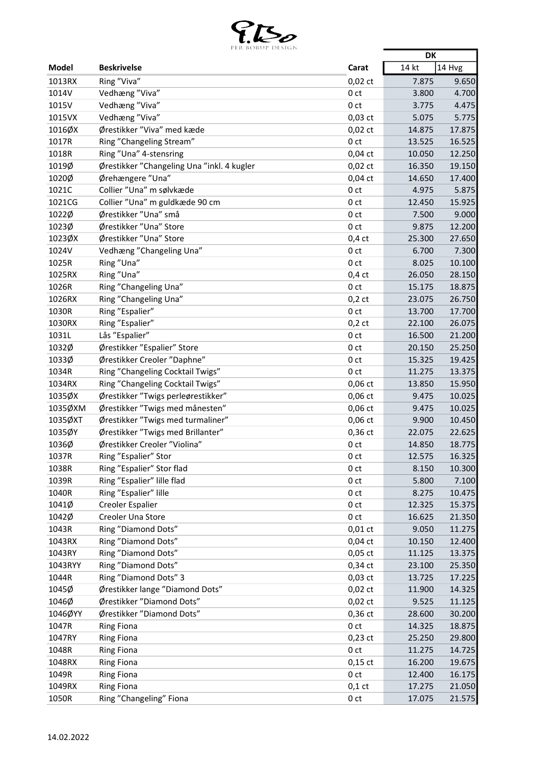

|         | PER BURUP DESIGN                           |                 | <b>DK</b> |        |
|---------|--------------------------------------------|-----------------|-----------|--------|
| Model   | <b>Beskrivelse</b>                         | Carat           | 14 kt     | 14 Hvg |
| 1013RX  | Ring "Viva"                                | $0,02$ ct       | 7.875     | 9.650  |
| 1014V   | Vedhæng "Viva"                             | 0 <sub>ct</sub> | 3.800     | 4.700  |
| 1015V   | Vedhæng "Viva"                             | 0 <sub>ct</sub> | 3.775     | 4.475  |
| 1015VX  | Vedhæng "Viva"                             | $0,03$ ct       | 5.075     | 5.775  |
| 1016ØX  | Ørestikker "Viva" med kæde                 | $0,02$ ct       | 14.875    | 17.875 |
| 1017R   | Ring "Changeling Stream"                   | 0 <sub>ct</sub> | 13.525    | 16.525 |
| 1018R   | Ring "Una" 4-stensring                     | $0,04$ ct       | 10.050    | 12.250 |
| 1019Ø   | Ørestikker "Changeling Una "inkl. 4 kugler | $0,02$ ct       | 16.350    | 19.150 |
| 1020Ø   | Ørehængere "Una"                           | $0,04$ ct       | 14.650    | 17.400 |
| 1021C   | Collier "Una" m sølvkæde                   | 0 <sub>ct</sub> | 4.975     | 5.875  |
| 1021CG  | Collier "Una" m guldkæde 90 cm             | 0 <sub>ct</sub> | 12.450    | 15.925 |
| 1022Ø   | Ørestikker "Una" små                       | 0 <sub>ct</sub> | 7.500     | 9.000  |
| 1023Ø   | Ørestikker "Una" Store                     | 0 <sub>ct</sub> | 9.875     | 12.200 |
| 1023ØX  | Ørestikker "Una" Store                     | $0,4$ ct        | 25.300    | 27.650 |
| 1024V   | Vedhæng "Changeling Una"                   | 0 <sub>ct</sub> | 6.700     | 7.300  |
| 1025R   | Ring "Una"                                 | 0 <sub>ct</sub> | 8.025     | 10.100 |
| 1025RX  |                                            |                 |           |        |
|         | Ring "Una"                                 | $0,4$ ct        | 26.050    | 28.150 |
| 1026R   | Ring "Changeling Una"                      | 0 <sub>ct</sub> | 15.175    | 18.875 |
| 1026RX  | Ring "Changeling Una"                      | $0,2$ ct        | 23.075    | 26.750 |
| 1030R   | Ring "Espalier"                            | 0 <sub>ct</sub> | 13.700    | 17.700 |
| 1030RX  | Ring "Espalier"                            | $0,2$ ct        | 22.100    | 26.075 |
| 1031L   | Lås "Espalier"                             | 0 <sub>ct</sub> | 16.500    | 21.200 |
| 1032Ø   | Ørestikker "Espalier" Store                | 0 ct            | 20.150    | 25.250 |
| 1033Ø   | Ørestikker Creoler "Daphne"                | 0 <sub>ct</sub> | 15.325    | 19.425 |
| 1034R   | Ring "Changeling Cocktail Twigs"           | 0 <sub>ct</sub> | 11.275    | 13.375 |
| 1034RX  | Ring "Changeling Cocktail Twigs"           | 0,06 ct         | 13.850    | 15.950 |
| 1035ØX  | Ørestikker "Twigs perleørestikker"         | 0,06 ct         | 9.475     | 10.025 |
| 1035ØXM | Ørestikker "Twigs med månesten"            | 0,06 ct         | 9.475     | 10.025 |
| 1035ØXT | Ørestikker "Twigs med turmaliner"          | 0,06 ct         | 9.900     | 10.450 |
| 1035ØY  | Ørestikker "Twigs med Brillanter"          | $0,36$ ct       | 22.075    | 22.625 |
| 1036Ø   | Ørestikker Creoler "Violina"               | 0 ct            | 14.850    | 18.775 |
| 1037R   | Ring "Espalier" Stor                       | 0 <sub>ct</sub> | 12.575    | 16.325 |
| 1038R   | Ring "Espalier" Stor flad                  | 0 ct            | 8.150     | 10.300 |
| 1039R   | Ring "Espalier" lille flad                 | 0 <sub>ct</sub> | 5.800     | 7.100  |
| 1040R   | Ring "Espalier" lille                      | 0 <sub>ct</sub> | 8.275     | 10.475 |
| 1041Ø   | Creoler Espalier                           | 0 ct            | 12.325    | 15.375 |
| 1042Ø   | Creoler Una Store                          | 0 <sub>ct</sub> | 16.625    | 21.350 |
| 1043R   | Ring "Diamond Dots"                        | $0,01$ ct       | 9.050     | 11.275 |
| 1043RX  | Ring "Diamond Dots"                        | $0,04$ ct       | 10.150    | 12.400 |
| 1043RY  | Ring "Diamond Dots"                        | $0,05$ ct       | 11.125    | 13.375 |
| 1043RYY | Ring "Diamond Dots"                        | 0,34 ct         | 23.100    | 25.350 |
| 1044R   | Ring "Diamond Dots" 3                      | 0,03 ct         | 13.725    | 17.225 |
| 1045Ø   | Ørestikker lange "Diamond Dots"            | $0,02$ ct       | 11.900    | 14.325 |
| 1046Ø   | Ørestikker "Diamond Dots"                  | $0,02$ ct       | 9.525     | 11.125 |
| 1046ØYY | Ørestikker "Diamond Dots"                  | 0,36 ct         | 28.600    | 30.200 |
| 1047R   | <b>Ring Fiona</b>                          | 0 <sub>ct</sub> | 14.325    | 18.875 |
| 1047RY  | <b>Ring Fiona</b>                          | 0,23 ct         | 25.250    | 29.800 |
| 1048R   | <b>Ring Fiona</b>                          | 0 <sub>ct</sub> | 11.275    | 14.725 |
| 1048RX  | <b>Ring Fiona</b>                          | $0,15$ ct       | 16.200    | 19.675 |
| 1049R   | <b>Ring Fiona</b>                          | 0 <sub>ct</sub> | 12.400    | 16.175 |
| 1049RX  | <b>Ring Fiona</b>                          | $0,1$ ct        | 17.275    | 21.050 |
| 1050R   | Ring "Changeling" Fiona                    | 0 ct            | 17.075    | 21.575 |
|         |                                            |                 |           |        |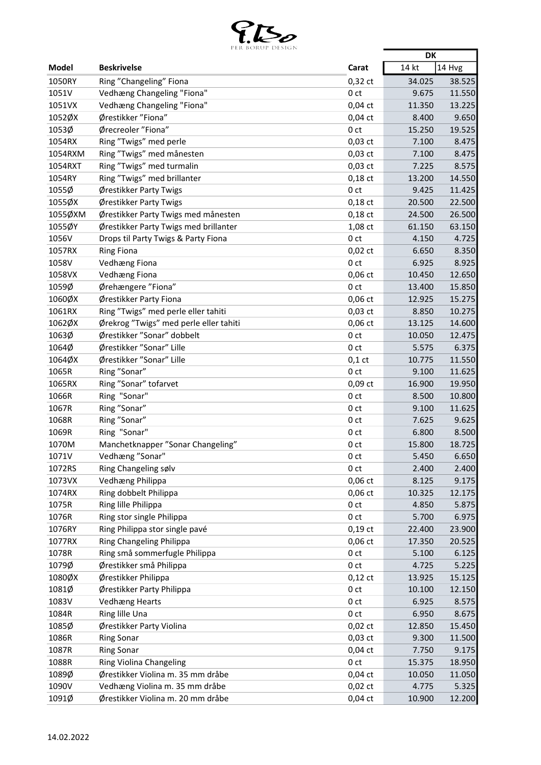

|                                                               |        | <b>DK</b> |
|---------------------------------------------------------------|--------|-----------|
| <b>Beskrivelse</b><br>Model<br>Carat                          | 14 kt  | 14 Hvg    |
| 1050RY<br>Ring "Changeling" Fiona<br>$0,32$ ct                | 34.025 | 38.525    |
| 1051V<br>Vedhæng Changeling "Fiona"<br>0 <sub>ct</sub>        | 9.675  | 11.550    |
| 1051VX<br>Vedhæng Changeling "Fiona"<br>$0,04$ ct             | 11.350 | 13.225    |
| 1052ØX<br>Ørestikker "Fiona"<br>$0,04$ ct                     | 8.400  | 9.650     |
| 1053Ø<br>Ørecreoler "Fiona"<br>0 <sub>ct</sub>                | 15.250 | 19.525    |
| Ring "Twigs" med perle<br>1054RX<br>$0,03$ ct                 | 7.100  | 8.475     |
| 1054RXM<br>Ring "Twigs" med månesten<br>0,03 ct               | 7.100  | 8.475     |
| Ring "Twigs" med turmalin<br>$0,03$ ct<br>1054RXT             | 7.225  | 8.575     |
| 1054RY<br>Ring "Twigs" med brillanter<br>$0,18$ ct            | 13.200 | 14.550    |
| 1055Ø<br>Ørestikker Party Twigs<br>0 <sub>ct</sub>            | 9.425  | 11.425    |
| 1055ØX<br>Ørestikker Party Twigs<br>$0,18$ ct                 | 20.500 | 22.500    |
| 1055ØXM<br>Ørestikker Party Twigs med månesten<br>$0,18$ ct   | 24.500 | 26.500    |
| 1055ØY<br>1,08 ct<br>Ørestikker Party Twigs med brillanter    | 61.150 | 63.150    |
| 1056V<br>Drops til Party Twigs & Party Fiona<br>0 ct          | 4.150  | 4.725     |
| 1057RX<br><b>Ring Fiona</b><br>$0,02$ ct                      | 6.650  | 8.350     |
| 1058V<br>Vedhæng Fiona<br>0 <sub>ct</sub>                     | 6.925  | 8.925     |
| 1058VX<br>0,06 ct<br>Vedhæng Fiona                            | 10.450 | 12.650    |
| 1059Ø<br>Ørehængere "Fiona"<br>0 <sub>ct</sub>                | 13.400 | 15.850    |
| 1060ØX<br>Ørestikker Party Fiona<br>0,06 ct                   | 12.925 | 15.275    |
| 1061RX<br>Ring "Twigs" med perle eller tahiti<br>0,03 ct      | 8.850  | 10.275    |
| 1062ØX<br>Ørekrog "Twigs" med perle eller tahiti<br>$0,06$ ct | 13.125 | 14.600    |
| 1063Ø<br>Ørestikker "Sonar" dobbelt<br>0 <sub>ct</sub>        | 10.050 | 12.475    |
| 1064Ø<br>Ørestikker "Sonar" Lille<br>0 ct                     | 5.575  | 6.375     |
| 1064ØX<br>Ørestikker "Sonar" Lille<br>$0,1$ ct                | 10.775 | 11.550    |
| 1065R<br>Ring "Sonar"<br>0 <sub>ct</sub>                      | 9.100  | 11.625    |
| 1065RX<br>0,09 ct<br>Ring "Sonar" tofarvet                    | 16.900 | 19.950    |
| 1066R<br>Ring "Sonar"<br>0 <sub>ct</sub>                      | 8.500  | 10.800    |
| 1067R<br>Ring "Sonar"<br>0 <sub>ct</sub>                      | 9.100  | 11.625    |
| 1068R<br>Ring "Sonar"<br>0 <sub>ct</sub>                      | 7.625  | 9.625     |
| Ring "Sonar"<br>1069R<br>0 <sub>ct</sub>                      | 6.800  | 8.500     |
| Manchetknapper "Sonar Changeling"<br>1070M<br>0 ct            | 15.800 | 18.725    |
| Vedhæng "Sonar"<br>1071V<br>0 <sub>ct</sub>                   | 5.450  | 6.650     |
| 1072RS<br>Ring Changeling sølv<br>0 ct                        | 2.400  | 2.400     |
| 1073VX<br>Vedhæng Philippa<br>0,06 ct                         | 8.125  | 9.175     |
| Ring dobbelt Philippa<br>$0,06$ ct<br>1074RX                  | 10.325 | 12.175    |
| 1075R<br>Ring lille Philippa<br>0 <sub>ct</sub>               | 4.850  | 5.875     |
| Ring stor single Philippa<br>1076R<br>0 <sub>ct</sub>         | 5.700  | 6.975     |
| 1076RY<br>Ring Philippa stor single pavé<br>$0,19$ ct         | 22.400 | 23.900    |
| Ring Changeling Philippa<br>0,06 ct<br>1077RX                 | 17.350 | 20.525    |
| Ring små sommerfugle Philippa<br>1078R<br>0 <sub>ct</sub>     | 5.100  | 6.125     |
| 1079Ø<br>Ørestikker små Philippa<br>0 ct                      | 4.725  | 5.225     |
| 1080ØX<br>Ørestikker Philippa<br>$0,12$ ct                    | 13.925 | 15.125    |
| 1081Ø<br>Ørestikker Party Philippa<br>0 <sub>ct</sub>         | 10.100 | 12.150    |
| 1083V<br><b>Vedhæng Hearts</b><br>0 <sub>ct</sub>             | 6.925  | 8.575     |
| 1084R<br>Ring lille Una<br>0 <sub>ct</sub>                    | 6.950  | 8.675     |
| 1085Ø<br>Ørestikker Party Violina<br>$0,02$ ct                | 12.850 | 15.450    |
| 1086R<br><b>Ring Sonar</b><br>$0,03$ ct                       | 9.300  | 11.500    |
| 1087R<br>$0,04$ ct<br><b>Ring Sonar</b>                       | 7.750  | 9.175     |
| 1088R<br>Ring Violina Changeling<br>0 <sub>ct</sub>           | 15.375 | 18.950    |
| 1089Ø<br>Ørestikker Violina m. 35 mm dråbe<br>$0,04$ ct       | 10.050 | 11.050    |
| 1090V<br>Vedhæng Violina m. 35 mm dråbe<br>$0,02$ ct          | 4.775  | 5.325     |
| 1091Ø<br>Ørestikker Violina m. 20 mm dråbe<br>$0,04$ ct       | 10.900 | 12.200    |